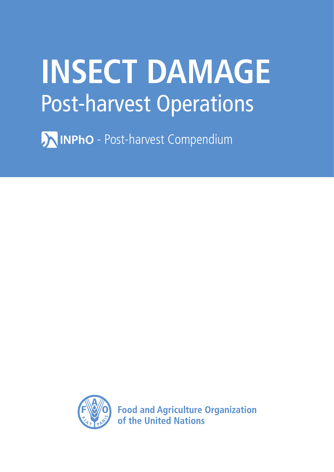# **INSECT DAMAGE** Post-harvest Operations

**AINPhO** - Post-harvest Compendium



**Food and Agriculture Organization** of the United Nations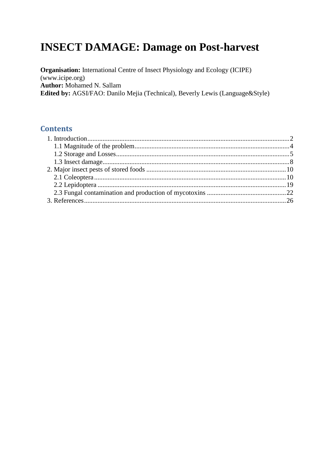# **INSECT DAMAGE: Damage on Post-harvest**

**Organisation:** International Centre of Insect Physiology and Ecology (ICIPE)  $(www.icipe.org)$ **Author:** Mohamed N. Sallam Edited by: AGSI/FAO: Danilo Mejia (Technical), Beverly Lewis (Language&Style)

# **Contents**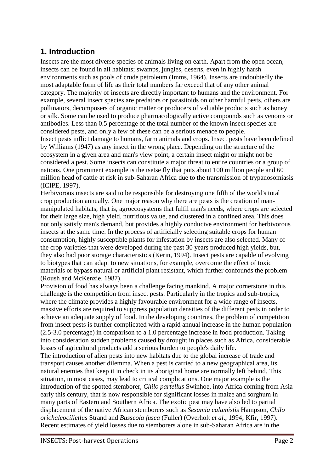# <span id="page-2-0"></span>**1. Introduction**

Insects are the most diverse species of animals living on earth. Apart from the open ocean, insects can be found in all habitats; swamps, jungles, deserts, even in highly harsh environments such as pools of crude petroleum (Imms, 1964). Insects are undoubtedly the most adaptable form of life as their total numbers far exceed that of any other animal category. The majority of insects are directly important to humans and the environment. For example, several insect species are predators or parasitoids on other harmful pests, others are pollinators, decomposers of organic matter or producers of valuable products such as honey or silk. Some can be used to produce pharmacologically active compounds such as venoms or antibodies. Less than 0.5 percentage of the total number of the known insect species are considered pests, and only a few of these can be a serious menace to people. Insect pests inflict damage to humans, farm animals and crops. Insect pests have been defined by Williams (1947) as any insect in the wrong place. Depending on the structure of the ecosystem in a given area and man's view point, a certain insect might or might not be considered a pest. Some insects can constitute a major threat to entire countries or a group of nations. One prominent example is the tsetse fly that puts about 100 million people and 60 million head of cattle at risk in sub-Saharan Africa due to the transmission of trypanosomiasis (ICIPE, 1997).

Herbivorous insects are said to be responsible for destroying one fifth of the world's total crop production annually. One major reason why there are pests is the creation of manmanipulated habitats, that is, agroecosystems that fulfil man's needs, where crops are selected for their large size, high yield, nutritious value, and clustered in a confined area. This does not only satisfy man's demand, but provides a highly conducive environment for herbivorous insects at the same time. In the process of artificially selecting suitable crops for human consumption, highly susceptible plants for infestation by insects are also selected. Many of the crop varieties that were developed during the past 30 years produced high yields, but, they also had poor storage characteristics (Kerin, 1994). Insect pests are capable of evolving to biotypes that can adapt to new situations, for example, overcome the effect of toxic materials or bypass natural or artificial plant resistant, which further confounds the problem (Roush and McKenzie, 1987).

Provision of food has always been a challenge facing mankind. A major cornerstone in this challenge is the competition from insect pests. Particularly in the tropics and sub-tropics, where the climate provides a highly favourable environment for a wide range of insects, massive efforts are required to suppress population densities of the different pests in order to achieve an adequate supply of food. In the developing countries, the problem of competition from insect pests is further complicated with a rapid annual increase in the human population (2.5-3.0 percentage) in comparison to a 1.0 percentage increase in food production. Taking into consideration sudden problems caused by drought in places such as Africa, considerable losses of agricultural products add a serious burden to people's daily life.

The introduction of alien pests into new habitats due to the global increase of trade and transport causes another dilemma. When a pest is carried to a new geographical area, its natural enemies that keep it in check in its aboriginal home are normally left behind. This situation, in most cases, may lead to critical complications. One major example is the introduction of the spotted stemborer, *Chilo partellus* Swinhoe, into Africa coming from Asia early this century, that is now responsible for significant losses in maize and sorghum in many parts of Eastern and Southern Africa. The exotic pest may have also led to partial displacement of the native African stemborers such as *Sesamia calamistis* Hampson, *Chilo orichalcociliellus* Strand and *Busseola fusca* (Fuller) (Overholt *et al*., 1994; Kfir, 1997). Recent estimates of yield losses due to stemborers alone in sub-Saharan Africa are in the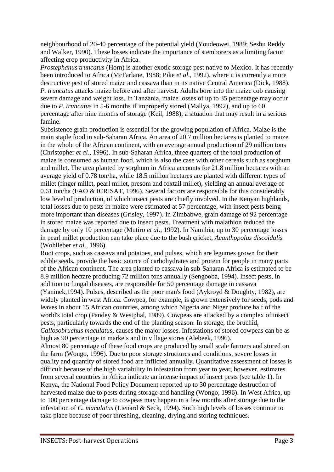neighbourhood of 20-40 percentage of the potential yield (Youdeowei, 1989; Seshu Reddy and Walker, 1990). These losses indicate the importance of stemborers as a limiting factor affecting crop productivity in Africa.

*Prostephanus truncatus* (Horn) is another exotic storage pest native to Mexico. It has recently been introduced to Africa (McFarlane, 1988; Pike *et al*., 1992), where it is currently a more destructive pest of stored maize and cassava than in its native Central America (Dick, 1988). *P. truncatus* attacks maize before and after harvest. Adults bore into the maize cob causing severe damage and weight loss. In Tanzania, maize losses of up to 35 percentage may occur due to *P. truncatus* in 5-6 months if improperly stored (Mallya, 1992), and up to 60 percentage after nine months of storage (Keil, 1988); a situation that may result in a serious famine.

Subsistence grain production is essential for the growing population of Africa. Maize is the main staple food in sub-Saharan Africa. An area of 20.7 million hectares is planted to maize in the whole of the African continent, with an average annual production of 29 million tons (Christopher *et al*., 1996). In sub-Saharan Africa, three quarters of the total production of maize is consumed as human food, which is also the case with other cereals such as sorghum and millet. The area planted by sorghum in Africa accounts for 21.8 million hectares with an average yield of 0.78 ton/ha, while 18.5 million hectares are planted with different types of millet (finger millet, pearl millet, presom and foxtail millet), yielding an annual average of 0.61 ton/ha (FAO & ICRISAT, 1996). Several factors are responsible for this considerably low level of production, of which insect pests are chiefly involved. In the Kenyan highlands, total losses due to pests in maize were estimated at 57 percentage, with insect pests being more important than diseases (Grisley, 1997). In Zimbabwe, grain damage of 92 percentage in stored maize was reported due to insect pests. Treatment with malathion reduced the damage by only 10 percentage (Mutiro *et al*., 1992). In Namibia, up to 30 percentage losses in pearl millet production can take place due to the bush cricket, *Acanthopolus discoidalis* (Wohlleber *et al*., 1996).

Root crops, such as cassava and potatoes, and pulses, which are legumes grown for their edible seeds, provide the basic source of carbohydrates and protein for people in many parts of the African continent. The area planted to cassava in sub-Saharan Africa is estimated to be 8.9 million hectare producing 72 million tons annually (Sengooba, 1994). Insect pests, in addition to fungal diseases, are responsible for 50 percentage damage in cassava (Yaninek,1994). Pulses, described as the poor man's food (Aykroyd & Doughty, 1982), are widely planted in west Africa. Cowpea, for example, is grown extensively for seeds, pods and leaves in about 15 African countries, among which Nigeria and Niger produce half of the world's total crop (Pandey & Westphal, 1989). Cowpeas are attacked by a complex of insect pests, particularly towards the end of the planting season. In storage, the bruchid, *Callosobruchus maculatus*, causes the major losses. Infestations of stored cowpeas can be as high as 90 percentage in markets and in village stores (Alebeek, 1996).

Almost 80 percentage of these food crops are produced by small scale farmers and stored on the farm (Wongo, 1996). Due to poor storage structures and conditions, severe losses in quality and quantity of stored food are inflicted annually. Quantitative assessment of losses is difficult because of the high variability in infestation from year to year, however, estimates from several countries in Africa indicate an intense impact of insect pests (see table 1). In Kenya, the National Food Policy Document reported up to 30 percentage destruction of harvested maize due to pests during storage and handling (Wongo, 1996). In West Africa, up to 100 percentage damage to cowpeas may happen in a few months after storage due to the infestation of *C. maculatus* (Lienard & Seck, 1994). Such high levels of losses continue to take place because of poor threshing, cleaning, drying and storing techniques.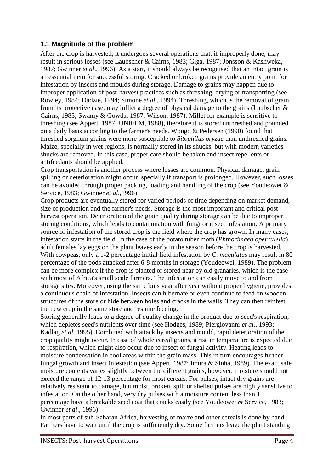# <span id="page-4-0"></span>**1.1 Magnitude of the problem**

After the crop is harvested, it undergoes several operations that, if improperly done, may result in serious losses (see Laubscher & Cairns, 1983; Giga, 1987; Jonsson & Kashweka, 1987; Gwinner *et al*., 1996). As a start, it should always be recognised that an intact grain is an essential item for successful storing. Cracked or broken grains provide an entry point for infestation by insects and moulds during storage. Damage to grains may happen due to improper application of post-harvest practices such as threshing, drying or transporting (see Rowley, 1984; Dadzie, 1994; Simone *et al*., 1994). Threshing, which is the removal of grain from its protective case, may inflict a degree of physical damage to the grains (Laubscher & Cairns, 1983; Swamy & Gowda, 1987; Wilson, 1987). Millet for example is sensitive to threshing (see Appert, 1987; UNIFEM, 1988), therefore it is stored unthreshed and pounded on a daily basis according to the farmer's needs. Wongo & Pedersen (1990) found that threshed sorghum grains were more susceptible to *Sitophilus oryzae* than unthreshed grains. Maize, specially in wet regions, is normally stored in its shucks, but with modern varieties shucks are removed. In this case, proper care should be taken and insect repellents or antifeedants should be applied.

Crop transportation is another process where losses are common. Physical damage, grain spilling or deterioration might occur, specially if transport is prolonged. However, such losses can be avoided through proper packing, loading and handling of the crop (see Youdeowei & Service, 1983; Gwinner *et al*.,1996)

Crop products are eventually stored for varied periods of time depending on market demand, size of production and the farmer's needs. Storage is the most important and critical postharvest operation. Deterioration of the grain quality during storage can be due to improper storing conditions, which leads to contamination with fungi or insect infestation. A primary source of infestation of the stored crop is the field where the crop has grown. In many cases, infestation starts in the field. In the case of the potato tuber moth (*Phthorimaea operculella*), adult females lay eggs on the plant leaves early in the season before the crop is harvested. With cowpeas, only a 1-2 percentage initial field infestation by *C. maculatus* may result in 80 percentage of the pods attacked after 6-8 months in storage (Youdeowei, 1989). The problem can be more complex if the crop is planted or stored near by old granaries, which is the case with most of Africa's small scale farmers. The infestation can easily move to and from storage sites. Moreover, using the same bins year after year without proper hygiene, provides a continuous chain of infestation. Insects can hibernate or even continue to feed on wooden structures of the store or hide between holes and cracks in the walls. They can then reinfest the new crop in the same store and resume feeding.

Storing generally leads to a degree of quality change in the product due to seed's respiration, which depletes seed's nutrients over time (see Hodges, 1989; Piergiovanni *et al*., 1993; Kadlag *et al*.,1995). Combined with attack by insects and mould, rapid deterioration of the crop quality might occur. In case of whole cereal grains, a rise in temperature is expected due to respiration, which might also occur due to insect or fungal activity. Heating leads to moisture condensation in cool areas within the grain mass. This in turn encourages further fungal growth and insect infestation (see Appert, 1987; Imura & Sinha, 1989). The exact safe moisture contents varies slightly between the different grains, however, moisture should not exceed the range of 12-13 percentage for most cereals. For pulses, intact dry grains are relatively resistant to damage, but moist, broken, split or shelled pulses are highly sensitive to infestation. On the other hand, very dry pulses with a moisture content less than 11 percentage have a breakable seed coat that cracks easily (see Youdeowei & Service, 1983; Gwinner *et al*., 1996).

In most parts of sub-Saharan Africa, harvesting of maize and other cereals is done by hand. Farmers have to wait until the crop is sufficiently dry. Some farmers leave the plant standing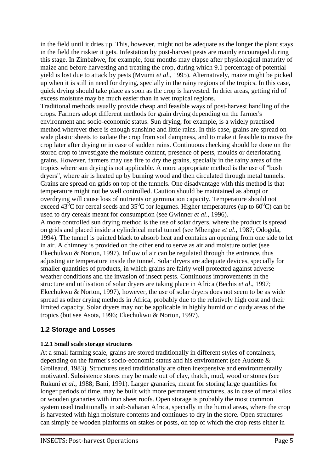in the field until it dries up. This, however, might not be adequate as the longer the plant stays in the field the riskier it gets. Infestation by post-harvest pests are mainly encouraged during this stage. In Zimbabwe, for example, four months may elapse after physiological maturity of maize and before harvesting and treating the crop, during which 9.1 percentage of potential yield is lost due to attack by pests (Mvumi *et al*., 1995). Alternatively, maize might be picked up when it is still in need for drying, specially in the rainy regions of the tropics. In this case, quick drying should take place as soon as the crop is harvested. In drier areas, getting rid of excess moisture may be much easier than in wet tropical regions.

Traditional methods usually provide cheap and feasible ways of post-harvest handling of the crops. Farmers adopt different methods for grain drying depending on the farmer's environment and socio-economic status. Sun drying, for example, is a widely practised method wherever there is enough sunshine and little rains. In this case, grains are spread on wide plastic sheets to isolate the crop from soil dampness, and to make it feasible to move the crop later after drying or in case of sudden rains. Continuous checking should be done on the stored crop to investigate the moisture content, presence of pests, moulds or deteriorating grains. However, farmers may use fire to dry the grains, specially in the rainy areas of the tropics where sun drying is not applicable. A more appropriate method is the use of "bush dryers", where air is heated up by burning wood and then circulated through metal tunnels. Grains are spread on grids on top of the tunnels. One disadvantage with this method is that temperature might not be well controlled. Caution should be maintained as abrupt or overdrying will cause loss of nutrients or germination capacity. Temperature should not exceed  $43^{\circ}$ C for cereal seeds and  $35^{\circ}$ C for legumes. Higher temperatures (up to  $60^{\circ}$ C) can be used to dry cereals meant for consumption (see Gwinner *et al*., 1996).

A more controlled sun drying method is the use of solar dryers, where the product is spread on grids and placed inside a cylindrical metal tunnel (see Mbengue *et al*., 1987; Odogola, 1994). The tunnel is painted black to absorb heat and contains an opening from one side to let in air. A chimney is provided on the other end to serve as air and moisture outlet (see Ekechukwu & Norton, 1997). Inflow of air can be regulated through the entrance, thus adjusting air temperature inside the tunnel. Solar dryers are adequate devices, specially for smaller quantities of products, in which grains are fairly well protected against adverse weather conditions and the invasion of insect pests. Continuous improvements in the structure and utilisation of solar dryers are taking place in Africa (Bechis *et al*., 1997; Ekechukwu & Norton, 1997), however, the use of solar dryers does not seem to be as wide spread as other drying methods in Africa, probably due to the relatively high cost and their limited capacity. Solar dryers may not be applicable in highly humid or cloudy areas of the tropics (but see Asota, 1996; Ekechukwu & Norton, 1997).

# <span id="page-5-0"></span>**1.2 Storage and Losses**

# **1.2.1 Small scale storage structures**

At a small farming scale, grains are stored traditionally in different styles of containers, depending on the farmer's socio-economic status and his environment (see Audette & Grolleaud, 1983). Structures used traditionally are often inexpensive and environmentally motivated. Subsistence stores may be made out of clay, thatch, mud, wood or stones (see Rukuni *et al*., 1988; Bani, 1991). Larger granaries, meant for storing large quantities for longer periods of time, may be built with more permanent structures, as in case of metal silos or wooden granaries with iron sheet roofs. Open storage is probably the most common system used traditionally in sub-Saharan Africa, specially in the humid areas, where the crop is harvested with high moisture contents and continues to dry in the store. Open structures can simply be wooden platforms on stakes or posts, on top of which the crop rests either in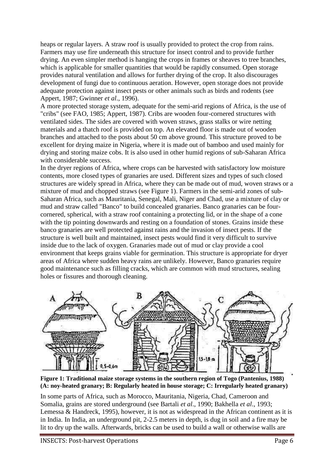heaps or regular layers. A straw roof is usually provided to protect the crop from rains. Farmers may use fire underneath this structure for insect control and to provide further drying. An even simpler method is hanging the crops in frames or sheaves to tree branches, which is applicable for smaller quantities that would be rapidly consumed. Open storage provides natural ventilation and allows for further drying of the crop. It also discourages development of fungi due to continuous aeration. However, open storage does not provide adequate protection against insect pests or other animals such as birds and rodents (see Appert, 1987; Gwinner *et al*., 1996).

A more protected storage system, adequate for the semi-arid regions of Africa, is the use of "cribs" (see FAO, 1985; Appert, 1987). Cribs are wooden four-cornered structures with ventilated sides. The sides are covered with woven straws, grass stalks or wire netting materials and a thatch roof is provided on top. An elevated floor is made out of wooden branches and attached to the posts about 50 cm above ground. This structure proved to be excellent for drying maize in Nigeria, where it is made out of bamboo and used mainly for drying and storing maize cobs. It is also used in other humid regions of sub-Saharan Africa with considerable success.

In the dryer regions of Africa, where crops can be harvested with satisfactory low moisture contents, more closed types of granaries are used. Different sizes and types of such closed structures are widely spread in Africa, where they can be made out of mud, woven straws or a mixture of mud and chopped straws (see Figure 1). Farmers in the semi-arid zones of sub-Saharan Africa, such as Mauritania, Senegal, Mali, Niger and Chad, use a mixture of clay or mud and straw called "Banco" to build concealed granaries. Banco granaries can be fourcornered, spherical, with a straw roof containing a protecting lid, or in the shape of a cone with the tip pointing downwards and resting on a foundation of stones. Grains inside these banco granaries are well protected against rains and the invasion of insect pests. If the structure is well built and maintained, insect pests would find it very difficult to survive inside due to the lack of oxygen. Granaries made out of mud or clay provide a cool environment that keeps grains viable for germination. This structure is appropriate for dryer areas of Africa where sudden heavy rains are unlikely. However, Banco granaries require good maintenance such as filling cracks, which are common with mud structures, sealing holes or fissures and thorough cleaning.



**Figure 1: Traditional maize storage systems in the southern region of Togo (Pantenius, 1988) (A: noy-heated granary; B: Regularly heated in house storage; C: Irregularly heated granary)** 

In some parts of Africa, such as Morocco, Mauritania, Nigeria, Chad, Cameroon and Somalia, grains are stored underground (see Bartali *et al*., 1990; Bakhella *et al*., 1993; Lemessa & Handreck, 1995), however, it is not as widespread in the African continent as it is in India. In India, an underground pit, 2-2.5 meters in depth, is dug in soil and a fire may be lit to dry up the walls. Afterwards, bricks can be used to build a wall or otherwise walls are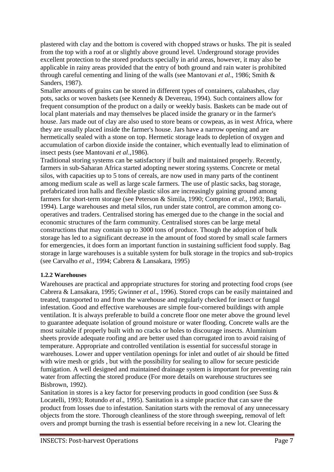plastered with clay and the bottom is covered with chopped straws or husks. The pit is sealed from the top with a roof at or slightly above ground level. Underground storage provides excellent protection to the stored products specially in arid areas, however, it may also be applicable in rainy areas provided that the entry of both ground and rain water is prohibited through careful cementing and lining of the walls (see Mantovani *et al*., 1986; Smith & Sanders, 1987).

Smaller amounts of grains can be stored in different types of containers, calabashes, clay pots, sacks or woven baskets (see Kennedy & Devereau, 1994). Such containers allow for frequent consumption of the product on a daily or weekly basis. Baskets can be made out of local plant materials and may themselves be placed inside the granary or in the farmer's house. Jars made out of clay are also used to store beans or cowpeas, as in west Africa, where they are usually placed inside the farmer's house. Jars have a narrow opening and are hermetically sealed with a stone on top. Hermetic storage leads to depletion of oxygen and accumulation of carbon dioxide inside the container, which eventually lead to elimination of insect pests (see Mantovani *et al*.,1986).

Traditional storing systems can be satisfactory if built and maintained properly. Recently, farmers in sub-Saharan Africa started adopting newer storing systems. Concrete or metal silos, with capacities up to 5 tons of cereals, are now used in many parts of the continent among medium scale as well as large scale farmers. The use of plastic sacks, bag storage, prefabricated iron halls and flexible plastic silos are increasingly gaining ground among farmers for short-term storage (see Peterson & Simila, 1990; Compton *et al*., 1993; Bartali, 1994). Large warehouses and metal silos, run under state control, are common among cooperatives and traders. Centralised storing has emerged due to the change in the social and economic structures of the farm community. Centralised stores can be large metal constructions that may contain up to 3000 tons of produce. Though the adoption of bulk storage has led to a significant decrease in the amount of food stored by small scale farmers for emergencies, it does form an important function in sustaining sufficient food supply. Bag storage in large warehouses is a suitable system for bulk storage in the tropics and sub-tropics (see Carvalho *et al*., 1994; Cabrera & Lansakara, 1995)

# **1.2.2 Warehouses**

Warehouses are practical and appropriate structures for storing and protecting food crops (see Cabrera & Lansakara, 1995; Gwinner *et al*., 1996). Stored crops can be easily maintained and treated, transported to and from the warehouse and regularly checked for insect or fungal infestation. Good and effective warehouses are simple four-cornered buildings with ample ventilation. It is always preferable to build a concrete floor one meter above the ground level to guarantee adequate isolation of ground moisture or water flooding. Concrete walls are the most suitable if properly built with no cracks or holes to discourage insects. Aluminium sheets provide adequate roofing and are better used than corrugated iron to avoid raising of temperature. Appropriate and controlled ventilation is essential for successful storage in warehouses. Lower and upper ventilation openings for inlet and outlet of air should be fitted with wire mesh or grids , but with the possibility for sealing to allow for secure pesticide fumigation. A well designed and maintained drainage system is important for preventing rain water from affecting the stored produce (For more details on warehouse structures see Bisbrown, 1992).

Sanitation in stores is a key factor for preserving products in good condition (see Suss & Locatelli, 1993; Rotundo *et al*., 1995). Sanitation is a simple practice that can save the product from losses due to infestation. Sanitation starts with the removal of any unnecessary objects from the store. Thorough cleanliness of the store through sweeping, removal of left overs and prompt burning the trash is essential before receiving in a new lot. Clearing the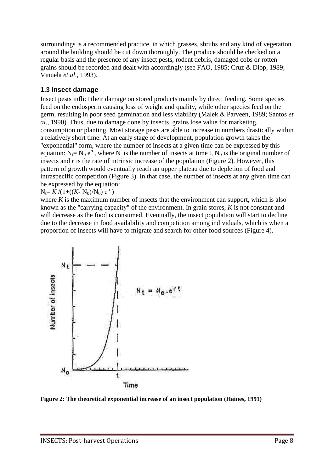surroundings is a recommended practice, in which grasses, shrubs and any kind of vegetation around the building should be cut down thoroughly. The produce should be checked on a regular basis and the presence of any insect pests, rodent debris, damaged cobs or rotten grains should be recorded and dealt with accordingly (see FAO, 1985; Cruz & Diop, 1989; Vinuela *et al*., 1993).

# <span id="page-8-0"></span>**1.3 Insect damage**

Insect pests inflict their damage on stored products mainly by direct feeding. Some species feed on the endosperm causing loss of weight and quality, while other species feed on the germ, resulting in poor seed germination and less viability (Malek & Parveen, 1989; Santos *et al*., 1990). Thus, due to damage done by insects, grains lose value for marketing, consumption or planting. Most storage pests are able to increase in numbers drastically within a relatively short time. At an early stage of development, population growth takes the "exponential" form, where the number of insects at a given time can be expressed by this equation:  $N_t = N_0 e^{rt}$ , where  $N_t$  is the number of insects at time t,  $N_0$  is the original number of insects and *r* is the rate of intrinsic increase of the population (Figure 2). However, this pattern of growth would eventually reach an upper plateau due to depletion of food and intraspecific competition (Figure 3). In that case, the number of insects at any given time can be expressed by the equation:

 $N_t = K / (1 + ((K - N_0)/N_0) e^{-rt})$ 

where  $K$  is the maximum number of insects that the environment can support, which is also known as the "carrying capacity" of the environment. In grain stores, *K* is not constant and will decrease as the food is consumed. Eventually, the insect population will start to decline due to the decrease in food availability and competition among individuals, which is when a proportion of insects will have to migrate and search for other food sources (Figure 4).



**Figure 2: The theoretical exponential increase of an insect population (Haines, 1991)**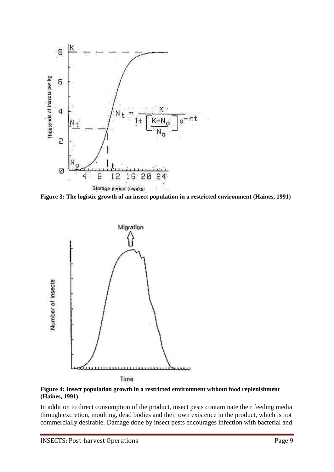

**Figure 3: The logistic growth of an insect population in a restricted environment (Haines, 1991)** 



**Figure 4: Insect population growth in a restricted environment without food replenishment (Haines, 1991)** 

In addition to direct consumption of the product, insect pests contaminate their feeding media through excretion, moulting, dead bodies and their own existence in the product, which is not commercially desirable. Damage done by insect pests encourages infection with bacterial and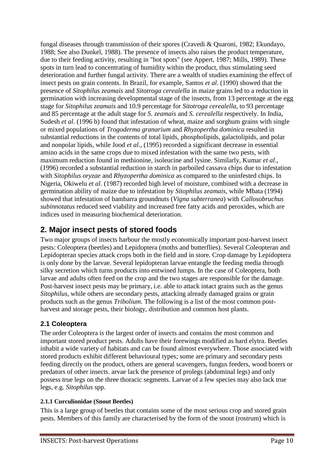fungal diseases through transmission of their spores (Cravedi & Quaroni, 1982; Ekundayo, 1988; See also Dunkel, 1988). The presence of insects also raises the product temperature, due to their feeding activity, resulting in "hot spots" (see Appert, 1987; Mills, 1989). These spots in turn lead to concentrating of humidity within the product, thus stimulating seed deterioration and further fungal activity. There are a wealth of studies examining the effect of insect pests on grain contents. In Brazil, for example, Santos *et al*. (1990) showed that the presence of *Sitophilus zeamais* and *Sitotroga cerealella* in maize grains led to a reduction in germination with increasing developmental stage of the insects, from 13 percentage at the egg stage for *Sitophilus zeamais* and 10.9 percentage for *Sitotroga cerealella*, to 93 percentage and 85 percentage at the adult stage for *S. zeamais* and *S. cerealella* respectively. In India, Sudesh *et al.* (1996 b) found that infestation of wheat, maize and sorghum grains with single or mixed populations of *Trogoderma granarium* and *Rhyzopertha dominica* resulted in substantial reductions in the contents of total lipids, phospholipids, galactolipids, and polar and nonpolar lipids, while Jood *et al*., (1995) recorded a significant decrease in essential amino acids in the same crops due to mixed infestation with the same two pests, with maximum reduction found in methionine, isoleucine and lysine. Similarly, Kumar *et al*., (1996) recorded a substantial reduction in starch in parboiled cassava chips due to infestation with *Sitophilus oryzae* and *Rhyzopertha dominica* as compared to the uninfested chips. In Nigeria, Okiwelu *et al*. (1987) recorded high level of moisture, combined with a decrease in germination ability of maize due to infestation by *Sitophilus zeamais*, while Mbata (1994) showed that infestation of bambarra groundnuts (*Vigna subterranea*) with *Callosobruchus subinnotatus* reduced seed viability and increased free fatty acids and peroxides, which are indices used in measuring biochemical deterioration.

# <span id="page-10-0"></span>**2. Major insect pests of stored foods**

Two major groups of insects harbour the mostly economically important post-harvest insect pests: Coleoptera (beetles) and Lepidoptera (moths and butterflies). Several Coleopteran and Lepidopteran species attack crops both in the field and in store. Crop damage by Lepidoptera is only done by the larvae. Several lepidopteran larvae entangle the feeding media through silky secretion which turns products into entwined lumps. In the case of Coleoptera, both larvae and adults often feed on the crop and the two stages are responsible for the damage. Post-harvest insect pests may be primary, i.e. able to attack intact grains such as the genus *Sitophilus*, while others are secondary pests, attacking already damaged grains or grain products such as the genus *Tribolium*. The following is a list of the most common postharvest and storage pests, their biology, distribution and common host plants.

# <span id="page-10-1"></span>**2.1 Coleoptera**

The order Coleoptera is the largest order of insects and contains the most common and important stored product pests. Adults have their forewings modified as hard elytra. Beetles inhabit a wide variety of habitats and can be found almost everywhere. Those associated with stored products exhibit different behavioural types; some are primary and secondary pests feeding directly on the product, others are general scavengers, fungus feeders, wood borers or predators of other insects. arvae lack the presence of prolegs (abdominal legs) and only possess true legs on the three thoracic segments. Larvae of a few species may also lack true legs, e.g. *Sitophilus* spp.

# **2.1.1 Curculionidae (Snout Beetles)**

This is a large group of beetles that contains some of the most serious crop and stored grain pests. Members of this family are characterised by the form of the snout (rostrum) which is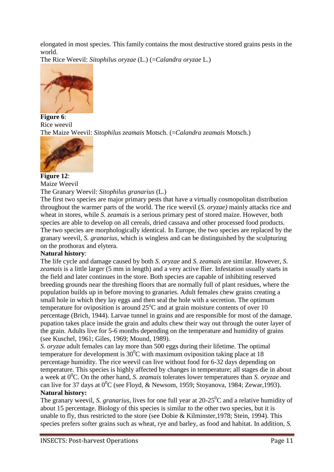elongated in most species. This family contains the most destructive stored grains pests in the world.

The Rice Weevil: *Sitophilus oryzae* (L.) (=*Calandra oryzae* L.)



**Figure 6**: Rice weevil The Maize Weevil: *Sitophilus zeamais* Motsch. (=*Calandra zeamais* Motsch.)



#### **Figure 12**: Maize Weevil

# The Granary Weevil: *Sitophilus granarius* (L.)

The first two species are major primary pests that have a virtually cosmopolitan distribution throughout the warmer parts of the world. The rice weevil (*S. oryzae)* mainly attacks rice and wheat in stores, while *S. zeamais* is a serious primary pest of stored maize. However, both species are able to develop on all cereals, dried cassava and other processed food products. The two species are morphologically identical. In Europe, the two species are replaced by the granary weevil, *S. granarius*, which is wingless and can be distinguished by the sculpturing on the prothorax and elytera.

# **Natural history**:

The life cycle and damage caused by both *S. oryzae* and *S. zeamais* are similar. However, *S. zeamais* is a little larger (5 mm in length) and a very active flier. Infestation usually starts in the field and later continues in the store. Both species are capable of inhibiting reserved breeding grounds near the threshing floors that are normally full of plant residues, where the population builds up in before moving to granaries. Adult females chew grains creating a small hole in which they lay eggs and then seal the hole with a secretion. The optimum temperature for oviposition is around  $25^{\circ}$ C and at grain moisture contents of over 10 percentage (Brich, 1944). Larvae tunnel in grains and are responsible for most of the damage. pupation takes place inside the grain and adults chew their way out through the outer layer of the grain. Adults live for 5-6 months depending on the temperature and humidity of grains (see Kuschel, 1961; Giles, 1969; Mound, 1989).

*S. oryzae* adult females can lay more than 500 eggs during their lifetime. The optimal temperature for development is  $30^0$ C with maximum oviposition taking place at 18 percentage humidity. The rice weevil can live without food for 6-32 days depending on temperature. This species is highly affected by changes in temperature; all stages die in about a week at 0<sup>0</sup>C. On the other hand, *S. zeamais* tolerates lower temperatures than *S. oryzae* and can live for 37 days at  $0^0C$  (see Floyd, & Newsom, 1959; Stoyanova, 1984; Zewar, 1993). **Natural history:**

The granary weevil, *S. granarius*, lives for one full year at  $20\text{-}25^{\circ}\text{C}$  and a relative humidity of about 15 percentage. Biology of this species is similar to the other two species, but it is unable to fly, thus restricted to the store (see Dobie & Kilminster,1978; Stein, 1994). This species prefers softer grains such as wheat, rye and barley, as food and habitat. In addition, *S.*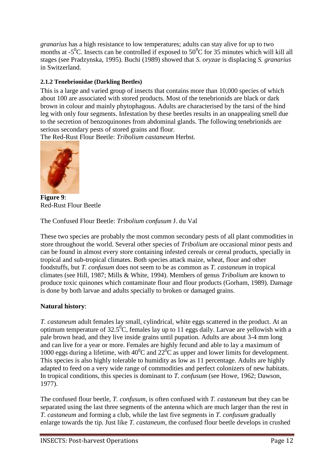*granarius* has a high resistance to low temperatures; adults can stay alive for up to two months at -5<sup>o</sup>C. Insects can be controlled if exposed to 50<sup>o</sup>C for 35 minutes which will kill all stages (see Pradzynska, 1995). Buchi (1989) showed that *S. oryzae* is displacing *S. granarius* in Switzerland.

# **2.1.2 Tenebrionidae (Darkling Beetles)**

This is a large and varied group of insects that contains more than 10,000 species of which about 100 are associated with stored products. Most of the tenebrionids are black or dark brown in colour and mainly phytophagous. Adults are characterised by the tarsi of the hind leg with only four segments. Infestation by these beetles results in an unappealing smell due to the secretion of benzoquinones from abdominal glands. The following tenebrionids are serious secondary pests of stored grains and flour.

The Red-Rust Flour Beetle: *Tribolium castaneum* Herbst.



**Figure 9**: Red-Rust Flour Beetle

The Confused Flour Beetle: *Tribolium confusum* J. du Val

These two species are probably the most common secondary pests of all plant commodities in store throughout the world. Several other species of *Tribolium* are occasional minor pests and can be found in almost every store containing infested cereals or cereal products, specially in tropical and sub-tropical climates. Both species attack maize, wheat, flour and other foodstuffs, but *T. confusum* does not seem to be as common as *T. castaneum* in tropical climates (see Hill, 1987; Mills & White, 1994). Members of genus *Tribolium* are known to produce toxic quinones which contaminate flour and flour products (Gorham, 1989). Damage is done by both larvae and adults specially to broken or damaged grains.

# **Natural history**:

*T. castaneum* adult females lay small, cylindrical, white eggs scattered in the product. At an optimum temperature of  $32.5^{\circ}$ C, females lay up to 11 eggs daily. Larvae are yellowish with a pale brown head, and they live inside grains until pupation. Adults are about 3-4 mm long and can live for a year or more. Females are highly fecund and able to lay a maximum of 1000 eggs during a lifetime, with  $40^{\circ}$ C and  $22^{\circ}$ C as upper and lower limits for development. This species is also highly tolerable to humidity as low as 11 percentage. Adults are highly adapted to feed on a very wide range of commodities and perfect colonizers of new habitats. In tropical conditions, this species is dominant to *T. confusum* (see Howe, 1962; Dawson, 1977).

The confused flour beetle, *T. confusum*, is often confused with *T. castaneum* but they can be separated using the last three segments of the antenna which are much larger than the rest in *T. castaneum* and forming a club, while the last five segments in *T. confusum* gradually enlarge towards the tip. Just like *T. castaneum*, the confused flour beetle develops in crushed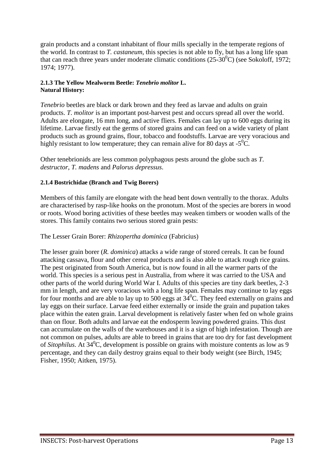grain products and a constant inhabitant of flour mills specially in the temperate regions of the world. In contrast to *T. castaneum*, this species is not able to fly, but has a long life span that can reach three years under moderate climatic conditions  $(25-30^0C)$  (see Sokoloff, 1972; 1974; 1977).

#### **2.1.3 The Yellow Mealworm Beetle:** *Tenebrio molitor* **L. Natural History:**

*Tenebrio* beetles are black or dark brown and they feed as larvae and adults on grain products. *T. molitor* is an important post-harvest pest and occurs spread all over the world. Adults are elongate, 16 mm long, and active fliers. Females can lay up to 600 eggs during its lifetime. Larvae firstly eat the germs of stored grains and can feed on a wide variety of plant products such as ground grains, flour, tobacco and foodstuffs. Larvae are very voracious and highly resistant to low temperature; they can remain alive for 80 days at  $-5^0C$ .

Other tenebrionids are less common polyphagous pests around the globe such as *T. destructor*, *T. madens* and *Palorus depressus*.

# **2.1.4 Bostrichidae (Branch and Twig Borers)**

Members of this family are elongate with the head bent down ventrally to the thorax. Adults are characterised by rasp-like hooks on the pronotum. Most of the species are borers in wood or roots. Wood boring activities of these beetles may weaken timbers or wooden walls of the stores. This family contains two serious stored grain pests:

# The Lesser Grain Borer: *Rhizopertha dominica* (Fabricius)

The lesser grain borer (*R. dominica*) attacks a wide range of stored cereals. It can be found attacking cassava, flour and other cereal products and is also able to attack rough rice grains. The pest originated from South America, but is now found in all the warmer parts of the world. This species is a serious pest in Australia, from where it was carried to the USA and other parts of the world during World War I. Adults of this species are tiny dark beetles, 2-3 mm in length, and are very voracious with a long life span. Females may continue to lay eggs for four months and are able to lay up to 500 eggs at  $34^{\circ}$ C. They feed externally on grains and lay eggs on their surface. Larvae feed either externally or inside the grain and pupation takes place within the eaten grain. Larval development is relatively faster when fed on whole grains than on flour. Both adults and larvae eat the endosperm leaving powdered grains. This dust can accumulate on the walls of the warehouses and it is a sign of high infestation. Though are not common on pulses, adults are able to breed in grains that are too dry for fast development of *Sitophilus*. At 34<sup>0</sup>C, development is possible on grains with moisture contents as low as 9 percentage, and they can daily destroy grains equal to their body weight (see Birch, 1945; Fisher, 1950; Aitken, 1975).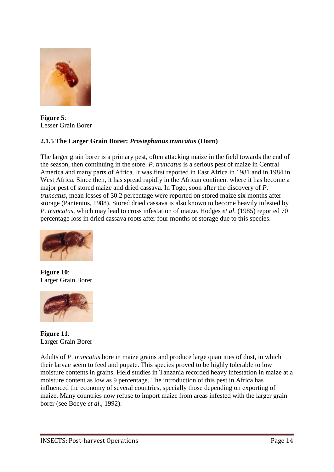

**Figure 5**: Lesser Grain Borer

# **2.1.5 The Larger Grain Borer:** *Prostephanus truncatus* **(Horn)**

The larger grain borer is a primary pest, often attacking maize in the field towards the end of the season, then continuing in the store. *P. truncatus* is a serious pest of maize in Central America and many parts of Africa. It was first reported in East Africa in 1981 and in 1984 in West Africa. Since then, it has spread rapidly in the African continent where it has become a major pest of stored maize and dried cassava. In Togo, soon after the discovery of *P. truncatus*, mean losses of 30.2 percentage were reported on stored maize six months after storage (Pantenius, 1988). Stored dried cassava is also known to become heavily infested by *P. truncatus*, which may lead to cross infestation of maize. Hodges *et al*. (1985) reported 70 percentage loss in dried cassava roots after four months of storage due to this species.



**Figure 10**: Larger Grain Borer



**Figure 11**: Larger Grain Borer

Adults of *P. truncatus* bore in maize grains and produce large quantities of dust, in which their larvae seem to feed and pupate. This species proved to be highly tolerable to low moisture contents in grains. Field studies in Tanzania recorded heavy infestation in maize at a moisture content as low as 9 percentage. The introduction of this pest in Africa has influenced the economy of several countries, specially those depending on exporting of maize. Many countries now refuse to import maize from areas infested with the larger grain borer (see Boeye *et al*., 1992).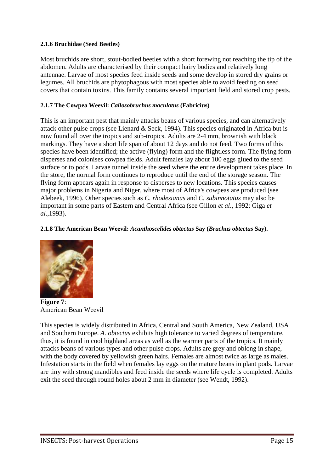# **2.1.6 Bruchidae (Seed Beetles)**

Most bruchids are short, stout-bodied beetles with a short forewing not reaching the tip of the abdomen. Adults are characterised by their compact hairy bodies and relatively long antennae. Larvae of most species feed inside seeds and some develop in stored dry grains or legumes. All bruchids are phytophagous with most species able to avoid feeding on seed covers that contain toxins. This family contains several important field and stored crop pests.

#### **2.1.7 The Cowpea Weevil:** *Callosobruchus maculatus* **(Fabricius)**

This is an important pest that mainly attacks beans of various species, and can alternatively attack other pulse crops (see Lienard & Seck, 1994). This species originated in Africa but is now found all over the tropics and sub-tropics. Adults are 2-4 mm, brownish with black markings. They have a short life span of about 12 days and do not feed. Two forms of this species have been identified; the active (flying) form and the flightless form. The flying form disperses and colonises cowpea fields. Adult females lay about 100 eggs glued to the seed surface or to pods. Larvae tunnel inside the seed where the entire development takes place. In the store, the normal form continues to reproduce until the end of the storage season. The flying form appears again in response to disperses to new locations. This species causes major problems in Nigeria and Niger, where most of Africa's cowpeas are produced (see Alebeek, 1996). Other species such as *C. rhodesianus* and *C. subinnotatus* may also be important in some parts of Eastern and Central Africa (see Gillon *et al*., 1992; Giga *et al*.,1993).

#### **2.1.8 The American Bean Weevil:** *Acanthoscelides obtectus* **Say (***Bruchus obtectus* **Say).**



**Figure 7**: American Bean Weevil

This species is widely distributed in Africa, Central and South America, New Zealand, USA and Southern Europe. *A. obtectus* exhibits high tolerance to varied degrees of temperature, thus, it is found in cool highland areas as well as the warmer parts of the tropics. It mainly attacks beans of various types and other pulse crops. Adults are grey and oblong in shape, with the body covered by yellowish green hairs. Females are almost twice as large as males. Infestation starts in the field when females lay eggs on the mature beans in plant pods. Larvae are tiny with strong mandibles and feed inside the seeds where life cycle is completed. Adults exit the seed through round holes about 2 mm in diameter (see Wendt, 1992).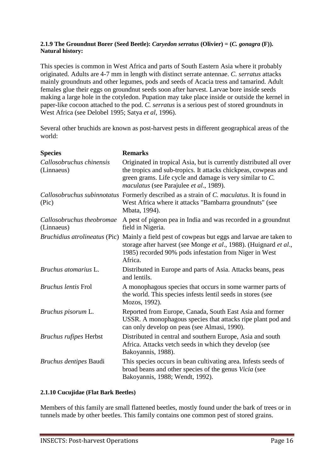#### **2.1.9 The Groundnut Borer (Seed Beetle):** *Caryedon serratus* **(Olivier) = (***C. gonagra* **(F)). Natural history:**

This species is common in West Africa and parts of South Eastern Asia where it probably originated. Adults are 4-7 mm in length with distinct serrate antennae. *C. serratus* attacks mainly groundnuts and other legumes, pods and seeds of Acacia tress and tamarind. Adult females glue their eggs on groundnut seeds soon after harvest. Larvae bore inside seeds making a large hole in the cotyledon. Pupation may take place inside or outside the kernel in paper-like cocoon attached to the pod. *C. serratus* is a serious pest of stored groundnuts in West Africa (see Delobel 1995; Satya *et al*, 1996).

Several other bruchids are known as post-harvest pests in different geographical areas of the world:

| <b>Species</b>                          | <b>Remarks</b>                                                                                                                                                                                                                              |
|-----------------------------------------|---------------------------------------------------------------------------------------------------------------------------------------------------------------------------------------------------------------------------------------------|
| Callosobruchus chinensis<br>(Linnaeus)  | Originated in tropical Asia, but is currently distributed all over<br>the tropics and sub-tropics. It attacks chickpeas, cowpeas and<br>green grams. Life cycle and damage is very similar to C.<br>maculatus (see Parajulee et al., 1989). |
| (Pic)                                   | Callosobruchus subinnotatus Formerly described as a strain of C. maculatus. It is found in<br>West Africa where it attacks "Bambarra groundnuts" (see<br>Mbata, 1994).                                                                      |
| Callosobruchus theobromae<br>(Linnaeus) | A pest of pigeon pea in India and was recorded in a ground nut<br>field in Nigeria.                                                                                                                                                         |
| <i>Bruchidius atrolineatus</i> (Pic)    | Mainly a field pest of cowpeas but eggs and larvae are taken to<br>storage after harvest (see Monge et al., 1988). (Huignard et al.,<br>1985) recorded 90% pods infestation from Niger in West<br>Africa.                                   |
| Bruchus atomarius L.                    | Distributed in Europe and parts of Asia. Attacks beans, peas<br>and lentils.                                                                                                                                                                |
| <b>Bruchus lentis Frol</b>              | A monophagous species that occurs in some warmer parts of<br>the world. This species infests lentil seeds in stores (see<br>Mozos, 1992).                                                                                                   |
| Bruchus pisorum L.                      | Reported from Europe, Canada, South East Asia and former<br>USSR. A monophagous species that attacks ripe plant pod and<br>can only develop on peas (see Almasi, 1990).                                                                     |
| <b>Bruchus rufipes Herbst</b>           | Distributed in central and southern Europe, Asia and south<br>Africa. Attacks vetch seeds in which they develop (see<br>Bakoyannis, 1988).                                                                                                  |
| Bruchus dentipes Baudi                  | This species occurs in bean cultivating area. Infests seeds of<br>broad beans and other species of the genus Vicia (see<br>Bakoyannis, 1988; Wendt, 1992).                                                                                  |

#### **2.1.10 Cucujidae (Flat Bark Beetles)**

Members of this family are small flattened beetles, mostly found under the bark of trees or in tunnels made by other beetles. This family contains one common pest of stored grains.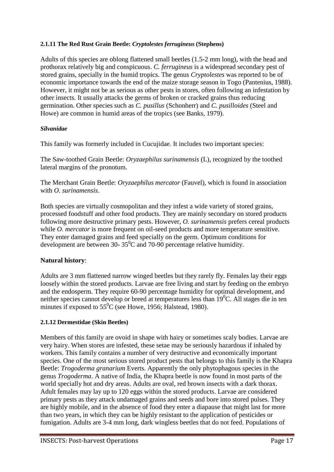# **2.1.11 The Red Rust Grain Beetle:** *Cryptolestes ferrugineus* **(Stephens)**

Adults of this species are oblong flattened small beetles (1.5-2 mm long), with the head and prothorax relatively big and conspicuous. *C. ferrugineus* is a widespread secondary pest of stored grains, specially in the humid tropics. The genus *Cryptolestes* was reported to be of economic importance towards the end of the maize storage season in Togo (Pantenius, 1988). However, it might not be as serious as other pests in stores, often following an infestation by other insects. It usually attacks the germs of broken or cracked grains thus reducing germination. Other species such as *C. pusillus* (Schonherr) and *C. pusilloides* (Steel and Howe) are common in humid areas of the tropics (see Banks, 1979).

# *Silvanidae*

This family was formerly included in Cucujidae. It includes two important species:

The Saw-toothed Grain Beetle: *Oryzaephilus surinamensis* (L), recognized by the toothed lateral margins of the pronotum.

The Merchant Grain Beetle: *Oryzaephilus mercator* (Fauvel), which is found in association with *O. surinamensis*.

Both species are virtually cosmopolitan and they infest a wide variety of stored grains, processed foodstuff and other food products. They are mainly secondary on stored products following more destructive primary pests. However, *O. surinamensis* prefers cereal products while *O. mercator* is more frequent on oil-seed products and more temperature sensitive. They enter damaged grains and feed specially on the germ. Optimum conditions for development are between 30-  $35^0$ C and 70-90 percentage relative humidity.

# **Natural history**:

Adults are 3 mm flattened narrow winged beetles but they rarely fly. Females lay their eggs loosely within the stored products. Larvae are free living and start by feeding on the embryo and the endosperm. They require 60-90 percentage humidity for optimal development, and neither species cannot develop or breed at temperatures less than  $19^{\circ}$ C. All stages die in ten minutes if exposed to  $55^0C$  (see Howe, 1956; Halstead, 1980).

# **2.1.12 Dermestidae (Skin Beetles)**

Members of this family are ovoid in shape with hairy or sometimes scaly bodies. Larvae are very hairy. When stores are infested, these setae may be seriously hazardous if inhaled by workers. This family contains a number of very destructive and economically important species. One of the most serious stored product pests that belongs to this family is the Khapra Beetle: *Trogoderma granarium* Everts. Apparently the only phytophagous species in the genus *Trogoderma*. A native of India, the Khapra beetle is now found in most parts of the world specially hot and dry areas. Adults are oval, red brown insects with a dark thorax. Adult females may lay up to 120 eggs within the stored products. Larvae are considered primary pests as they attack undamaged grains and seeds and bore into stored pulses. They are highly mobile, and in the absence of food they enter a diapause that might last for more than two years, in which they can be highly resistant to the application of pesticides or fumigation. Adults are 3-4 mm long, dark wingless beetles that do not feed. Populations of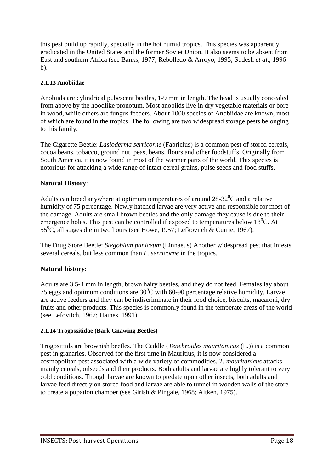this pest build up rapidly, specially in the hot humid tropics. This species was apparently eradicated in the United States and the former Soviet Union. It also seems to be absent from East and southern Africa (see Banks, 1977; Rebolledo & Arroyo, 1995; Sudesh *et al*., 1996 b).

# **2.1.13 Anobiidae**

Anobiids are cylindrical pubescent beetles, 1-9 mm in length. The head is usually concealed from above by the hoodlike pronotum. Most anobiids live in dry vegetable materials or bore in wood, while others are fungus feeders. About 1000 species of Anobiidae are known, most of which are found in the tropics. The following are two widespread storage pests belonging to this family.

The Cigarette Beetle: *Lasioderma serricorne* (Fabricius) is a common pest of stored cereals, cocoa beans, tobacco, ground nut, peas, beans, flours and other foodstuffs. Originally from South America, it is now found in most of the warmer parts of the world. This species is notorious for attacking a wide range of intact cereal grains, pulse seeds and food stuffs.

# **Natural History**:

Adults can breed anywhere at optimum temperatures of around  $28-32^{\circ}$ C and a relative humidity of 75 percentage. Newly hatched larvae are very active and responsible for most of the damage. Adults are small brown beetles and the only damage they cause is due to their emergence holes. This pest can be controlled if exposed to temperatures below  $18^{\circ}$ C. At 55<sup>0</sup>C, all stages die in two hours (see Howe, 1957; Lefkovitch & Currie, 1967).

The Drug Store Beetle: *Stegobium paniceum* (Linnaeus) Another widespread pest that infests several cereals, but less common than *L. serricorne* in the tropics.

# **Natural history:**

Adults are 3.5-4 mm in length, brown hairy beetles, and they do not feed. Females lay about 75 eggs and optimum conditions are  $30^0$ C with 60-90 percentage relative humidity. Larvae are active feeders and they can be indiscriminate in their food choice, biscuits, macaroni, dry fruits and other products. This species is commonly found in the temperate areas of the world (see Lefovitch, 1967; Haines, 1991).

# **2.1.14 Trogossitidae (Bark Gnawing Beetles)**

Trogosittids are brownish beetles. The Caddle (*Tenebroides mauritanicus* (L.)) is a common pest in granaries. Observed for the first time in Mauritius, it is now considered a cosmopolitan pest associated with a wide variety of commodities. *T. mauritanicus* attacks mainly cereals, oilseeds and their products. Both adults and larvae are highly tolerant to very cold conditions. Though larvae are known to predate upon other insects, both adults and larvae feed directly on stored food and larvae are able to tunnel in wooden walls of the store to create a pupation chamber (see Girish & Pingale, 1968; Aitken, 1975).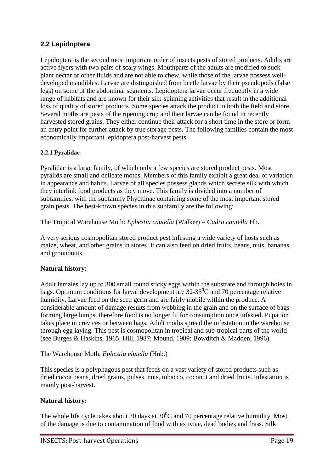# <span id="page-19-0"></span>**2.2 Lepidoptera**

Lepidoptera is the second most important order of insects pests of stored products. Adults are active flyers with two pairs of scaly wings. Mouthparts of the adults are modified to suck plant nectar or other fluids and are not able to chew, while those of the larvae possess welldeveloped mandibles. Larvae are distinguished from beetle larvae by their pseudopods (false legs) on some of the abdominal segments. Lepidoptera larvae occur frequently in a wide range of habitats and are known for their silk-spinning activities that result in the additional loss of quality of stored products. Some species attack the product in both the field and store. Several moths are pests of the ripening crop and their larvae can be found in recently harvested stored grains. They either continue their attack for a short time in the store or form an entry point for further attack by true storage pests. The following families contain the most economically important lepidoptera post-harvest pests.

# **2.2.1 Pyralidae**

Pyralidae is a large family, of which only a few species are stored product pests. Most pyralids are small and delicate moths. Members of this family exhibit a great deal of variation in appearance and habits. Larvae of all species possess glands which secrete silk with which they interlink food products as they move. This family is divided into a number of subfamilies, with the subfamily Phycitinae containing some of the most important stored grain pests. The best-known species in this subfamily are the following:

The Tropical Warehouse Moth: *Ephestia cautella* (Walker) = *Cadra cautella* Hb.

A very serious cosmopolitan stored product pest infesting a wide variety of hosts such as maize, wheat, and other grains in stores. It can also feed on dried fruits, beans, nuts, bananas and groundnuts.

# **Natural history**:

Adult females lay up to 300 small round sticky eggs within the substrate and through holes in bags. Optimum conditions for larval development are  $32-33^0C$  and 70 percentage relative humidity. Larvae feed on the seed germ and are fairly mobile within the produce. A considerable amount of damage results from webbing in the grain and on the surface of bags forming large lumps, therefore food is no longer fit for consumption once infested. Pupation takes place in crevices or between bags. Adult moths spread the infestation in the warehouse through egg laying. This pest is cosmopolitan in tropical and sub-tropical parts of the world (see Burges & Haskins, 1965; Hill, 1987; Mound, 1989; Bowditch & Madden, 1996).

The Warehouse Moth: *Ephestia elutella* (Hub.)

This species is a polyphagous pest that feeds on a vast variety of stored products such as dried cocoa beans, dried grains, pulses, nuts, tobacco, coconut and dried fruits. Infestation is mainly post-harvest.

# **Natural history:**

The whole life cycle takes about 30 days at  $30^{\circ}$ C and 70 percentage relative humidity. Most of the damage is due to contamination of food with exuviae, dead bodies and frass. Silk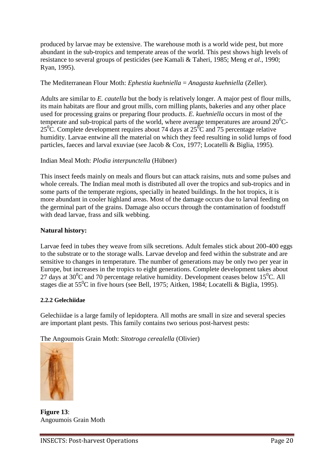produced by larvae may be extensive. The warehouse moth is a world wide pest, but more abundant in the sub-tropics and temperate areas of the world. This pest shows high levels of resistance to several groups of pesticides (see Kamali & Taheri, 1985; Meng *et al*., 1990; Ryan, 1995).

# The Mediterranean Flour Moth: *Ephestia kuehniella* = *Anagasta kuehniella* (Zeller).

Adults are similar to *E. cautella* but the body is relatively longer. A major pest of flour mills, its main habitats are flour and grout mills, corn milling plants, bakeries and any other place used for processing grains or preparing flour products. *E. kuehniella* occurs in most of the temperate and sub-tropical parts of the world, where average temperatures are around  $20^0C$ - $25^{\circ}$ C. Complete development requires about 74 days at  $25^{\circ}$ C and 75 percentage relative humidity. Larvae entwine all the material on which they feed resulting in solid lumps of food particles, faeces and larval exuviae (see Jacob & Cox, 1977; Locatelli & Biglia, 1995).

# Indian Meal Moth: *Plodia interpunctella* (Hübner)

This insect feeds mainly on meals and flours but can attack raisins, nuts and some pulses and whole cereals. The Indian meal moth is distributed all over the tropics and sub-tropics and in some parts of the temperate regions, specially in heated buildings. In the hot tropics, it is more abundant in cooler highland areas. Most of the damage occurs due to larval feeding on the germinal part of the grains. Damage also occurs through the contamination of foodstuff with dead larvae, frass and silk webbing.

# **Natural history:**

Larvae feed in tubes they weave from silk secretions. Adult females stick about 200-400 eggs to the substrate or to the storage walls. Larvae develop and feed within the substrate and are sensitive to changes in temperature. The number of generations may be only two per year in Europe, but increases in the tropics to eight generations. Complete development takes about 27 days at  $30^{\circ}$ C and 70 percentage relative humidity. Development ceases below 15<sup> $\circ$ </sup>C. All stages die at  $55^{\circ}$ C in five hours (see Bell, 1975; Aitken, 1984; Locatelli & Biglia, 1995).

# **2.2.2 Gelechiidae**

Gelechiidae is a large family of lepidoptera. All moths are small in size and several species are important plant pests. This family contains two serious post-harvest pests:

The Angoumois Grain Moth: *Sitotroga cerealella* (Olivier)



**Figure 13**: Angoumois Grain Moth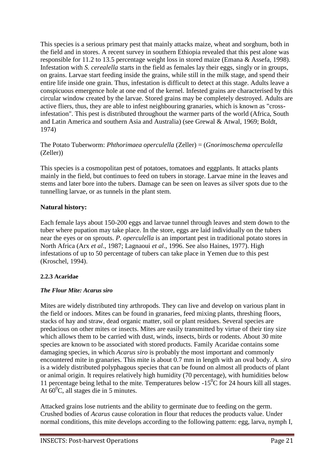This species is a serious primary pest that mainly attacks maize, wheat and sorghum, both in the field and in stores. A recent survey in southern Ethiopia revealed that this pest alone was responsible for 11.2 to 13.5 percentage weight loss in stored maize (Emana & Assefa, 1998). Infestation with *S. cerealella* starts in the field as females lay their eggs, singly or in groups, on grains. Larvae start feeding inside the grains, while still in the milk stage, and spend their entire life inside one grain. Thus, infestation is difficult to detect at this stage. Adults leave a conspicuous emergence hole at one end of the kernel. Infested grains are characterised by this circular window created by the larvae. Stored grains may be completely destroyed. Adults are active fliers, thus, they are able to infest neighbouring granaries, which is known as "crossinfestation". This pest is distributed throughout the warmer parts of the world (Africa, South and Latin America and southern Asia and Australia) (see Grewal & Atwal, 1969; Boldt, 1974)

# The Potato Tuberworm: *Phthorimaea operculella* (Zeller) = (*Gnorimoschema operculella* (Zeller))

This species is a cosmopolitan pest of potatoes, tomatoes and eggplants. It attacks plants mainly in the field, but continues to feed on tubers in storage. Larvae mine in the leaves and stems and later bore into the tubers. Damage can be seen on leaves as silver spots due to the tunnelling larvae, or as tunnels in the plant stem.

# **Natural history:**

Each female lays about 150-200 eggs and larvae tunnel through leaves and stem down to the tuber where pupation may take place. In the store, eggs are laid individually on the tubers near the eyes or on sprouts. *P. operculella* is an important pest in traditional potato stores in North Africa (Arx *et al*., 1987; Lagnaoui *et al*., 1996. See also Haines, 1977). High infestations of up to 50 percentage of tubers can take place in Yemen due to this pest (Kroschel, 1994).

# **2.2.3 Acaridae**

# *The Flour Mite: Acarus siro*

Mites are widely distributed tiny arthropods. They can live and develop on various plant in the field or indoors. Mites can be found in granaries, feed mixing plants, threshing floors, stacks of hay and straw, dead organic matter, soil or plant residues. Several species are predacious on other mites or insects. Mites are easily transmitted by virtue of their tiny size which allows them to be carried with dust, winds, insects, birds or rodents. About 30 mite species are known to be associated with stored products. Family Acaridae contains some damaging species, in which *Acarus siro* is probably the most important and commonly encountered mite in granaries. This mite is about 0.7 mm in length with an oval body. *A. siro* is a widely distributed polyphagous species that can be found on almost all products of plant or animal origin. It requires relatively high humidity (70 percentage), with humidities below 11 percentage being lethal to the mite. Temperatures below  $-15^{\circ}$ C for 24 hours kill all stages. At  $60^{\circ}$ C, all stages die in 5 minutes.

Attacked grains lose nutrients and the ability to germinate due to feeding on the germ. Crushed bodies of *Acarus* cause coloration in flour that reduces the products value. Under normal conditions, this mite develops according to the following pattern: egg, larva, nymph I,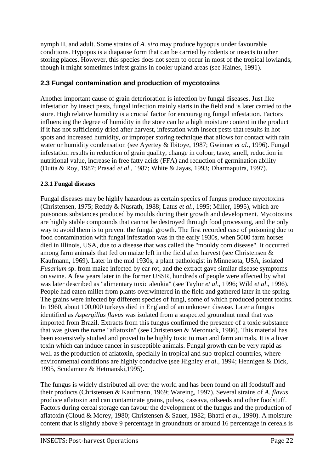nymph II, and adult. Some strains of *A. siro* may produce hypopus under favourable conditions. Hypopus is a diapause form that can be carried by rodents or insects to other storing places. However, this species does not seem to occur in most of the tropical lowlands, though it might sometimes infest grains in cooler upland areas (see Haines, 1991).

# <span id="page-22-0"></span>**2.3 Fungal contamination and production of mycotoxins**

Another important cause of grain deterioration is infection by fungal diseases. Just like infestation by insect pests, fungal infection mainly starts in the field and is later carried to the store. High relative humidity is a crucial factor for encouraging fungal infestation. Factors influencing the degree of humidity in the store can be a high moisture content in the product if it has not sufficiently dried after harvest, infestation with insect pests that results in hot spots and increased humidity, or improper storing technique that allows for contact with rain water or humidity condensation (see Ayertey & Ibitoye, 1987; Gwinner *et al*., 1996). Fungal infestation results in reduction of grain quality, change in colour, taste, smell, reduction in nutritional value, increase in free fatty acids (FFA) and reduction of germination ability (Dutta & Roy, 1987; Prasad *et al*., 1987; White & Jayas, 1993; Dharmaputra, 1997).

# **2.3.1 Fungal diseases**

Fungal diseases may be highly hazardous as certain species of fungus produce mycotoxins (Christensen, 1975; Reddy & Nusrath, 1988; Latus *et al*., 1995; Miller, 1995), which are poisonous substances produced by moulds during their growth and development. Mycotoxins are highly stable compounds that cannot be destroyed through food processing, and the only way to avoid them is to prevent the fungal growth. The first recorded case of poisoning due to food contamination with fungal infestation was in the early 1930s, when 5000 farm horses died in Illinois, USA, due to a disease that was called the "mouldy corn disease". It occurred among farm animals that fed on maize left in the field after harvest (see Christensen & Kaufmann, 1969). Later in the mid 1930s, a plant pathologist in Minnesota, USA, isolated *Fusarium* sp. from maize infected by ear rot, and the extract gave similar disease symptoms on swine. A few years later in the former USSR, hundreds of people were affected by what was later described as "alimentary toxic aleukia" (see Taylor *et al*., 1996; Wild *et al*., 1996). People had eaten millet from plants overwintered in the field and gathered later in the spring. The grains were infected by different species of fungi, some of which produced potent toxins. In 1960, about 100,000 turkeys died in England of an unknown disease. Later a fungus identified as *Aspergillus flavus* was isolated from a suspected groundnut meal that was imported from Brazil. Extracts from this fungus confirmed the presence of a toxic substance that was given the name "aflatoxin" (see Christensen & Meronuck, 1986). This material has been extensively studied and proved to be highly toxic to man and farm animals. It is a liver toxin which can induce cancer in susceptible animals. Fungal growth can be very rapid as well as the production of aflatoxin, specially in tropical and sub-tropical countries, where environmental conditions are highly conducive (see Highley *et al*., 1994; Hennigen & Dick, 1995, Scudamore & Hetmanski,1995).

The fungus is widely distributed all over the world and has been found on all foodstuff and their products (Christensen & Kaufmann, 1969; Wareing, 1997). Several strains of *A. flavus* produce aflatoxin and can contaminate grains, pulses, cassava, oilseeds and other foodstuff. Factors during cereal storage can favour the development of the fungus and the production of aflatoxin (Cloud & Morey, 1980; Christensen & Sauer, 1982; Bhatti *et al*., 1990). A moisture content that is slightly above 9 percentage in groundnuts or around 16 percentage in cereals is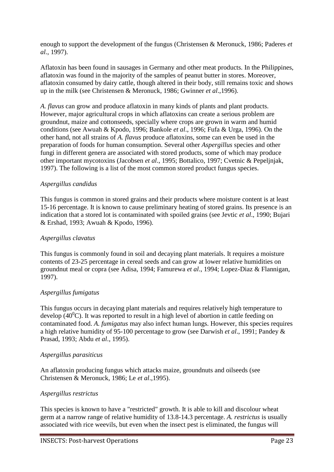enough to support the development of the fungus (Christensen & Meronuck, 1986; Paderes *et al*., 1997).

Aflatoxin has been found in sausages in Germany and other meat products. In the Philippines, aflatoxin was found in the majority of the samples of peanut butter in stores. Moreover, aflatoxin consumed by dairy cattle, though altered in their body, still remains toxic and shows up in the milk (see Christensen & Meronuck, 1986; Gwinner *et al*.,1996).

*A. flavus* can grow and produce aflatoxin in many kinds of plants and plant products. However, major agricultural crops in which aflatoxins can create a serious problem are groundnut, maize and cottonseeds, specially where crops are grown in warm and humid conditions (see Awuah & Kpodo, 1996; Bankole *et al*., 1996; Fufa & Urga, 1996). On the other hand, not all strains of *A. flavus* produce aflatoxins, some can even be used in the preparation of foods for human consumption. Several other *Aspergillus* species and other fungi in different genera are associated with stored products, some of which may produce other important mycotoxins (Jacobsen *et al*., 1995; Bottalico, 1997; Cvetnic & Pepeljnjak, 1997). The following is a list of the most common stored product fungus species.

# *Aspergillus candidus*

This fungus is common in stored grains and their products where moisture content is at least 15-16 percentage. It is known to cause preliminary heating of stored grains. Its presence is an indication that a stored lot is contaminated with spoiled grains (see Jevtic *et al*., 1990; Bujari & Ershad, 1993; Awuah & Kpodo, 1996).

#### *Aspergillus clavatus*

This fungus is commonly found in soil and decaying plant materials. It requires a moisture contents of 23-25 percentage in cereal seeds and can grow at lower relative humidities on groundnut meal or copra (see Adisa, 1994; Famurewa *et al*., 1994; Lopez-Diaz & Flannigan, 1997).

# *Aspergillus fumigatus*

This fungus occurs in decaying plant materials and requires relatively high temperature to develop (40 $^0$ C). It was reported to result in a high level of abortion in cattle feeding on contaminated food. *A. fumigatus* may also infect human lungs. However, this species requires a high relative humidity of 95-100 percentage to grow (see Darwish *et al*., 1991; Pandey & Prasad, 1993; Abdu *et al*., 1995).

#### *Aspergillus parasiticus*

An aflatoxin producing fungus which attacks maize, groundnuts and oilseeds (see Christensen & Meronuck, 1986; Le *et al*.,1995).

#### *Aspergillus restrictus*

This species is known to have a "restricted" growth. It is able to kill and discolour wheat germ at a narrow range of relative humidity of 13.8-14.3 percentage. *A. restrictus* is usually associated with rice weevils, but even when the insect pest is eliminated, the fungus will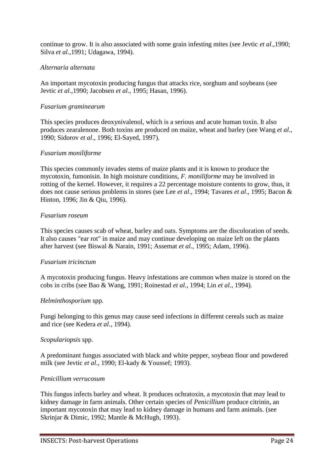continue to grow. It is also associated with some grain infesting mites (see Jevtic *et al*.,1990; Silva *et al*.,1991; Udagawa, 1994).

# *Alternaria alternata*

An important mycotoxin producing fungus that attacks rice, sorghum and soybeans (see Jevtic *et al*.,1990; Jacobsen *et al*., 1995; Hasan, 1996).

#### *Fusarium graminearum*

This species produces deoxynivalenol, which is a serious and acute human toxin. It also produces zearalenone. Both toxins are produced on maize, wheat and barley (see Wang *et al*., 1990; Sidorov *et al*., 1996; El-Sayed, 1997).

#### *Fusarium moniliforme*

This species commonly invades stems of maize plants and it is known to produce the mycotoxin, fumonisin. In high moisture conditions, *F. moniliforme* may be involved in rotting of the kernel. However, it requires a 22 percentage moisture contents to grow, thus, it does not cause serious problems in stores (see Lee *et al*., 1994; Tavares *et al*., 1995; Bacon & Hinton, 1996; Jin & Qiu, 1996).

#### *Fusarium roseum*

This species causes scab of wheat, barley and oats. Symptoms are the discoloration of seeds. It also causes "ear rot" in maize and may continue developing on maize left on the plants after harvest (see Biswal & Narain, 1991; Assemat *et al*., 1995; Adam, 1996).

#### *Fusarium tricinctum*

A mycotoxin producing fungus. Heavy infestations are common when maize is stored on the cobs in cribs (see Bao & Wang, 1991; Roinestad *et al*., 1994; Lin *et al*., 1994).

#### *Helminthosporium* spp.

Fungi belonging to this genus may cause seed infections in different cereals such as maize and rice (see Kedera *et al*., 1994).

#### *Scopulariopsis* spp.

A predominant fungus associated with black and white pepper, soybean flour and powdered milk (see Jevtic *et al*., 1990; El-kady & Youssef; 1993).

#### *Penicillium verrucosum*

This fungus infects barley and wheat. It produces ochratoxin, a mycotoxin that may lead to kidney damage in farm animals. Other certain species of *Penicillium* produce citrinin, an important mycotoxin that may lead to kidney damage in humans and farm animals. (see Skrinjar & Dimic, 1992; Mantle & McHugh, 1993).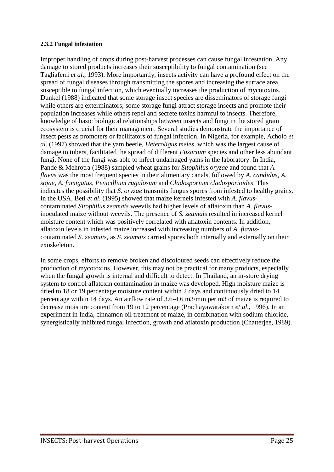#### **2.3.2 Fungal infestation**

Improper handling of crops during post-harvest processes can cause fungal infestation. Any damage to stored products increases their susceptibility to fungal contamination (see Tagliaferri *et al*., 1993). More importantly, insects activity can have a profound effect on the spread of fungal diseases through transmitting the spores and increasing the surface area susceptible to fungal infection, which eventually increases the production of mycotoxins. Dunkel (1988) indicated that some storage insect species are disseminators of storage fungi while others are exterminators; some storage fungi attract storage insects and promote their population increases while others repel and secrete toxins harmful to insects. Therefore, knowledge of basic biological relationships between insects and fungi in the stored grain ecosystem is crucial for their management. Several studies demonstrate the importance of insect pests as promoters or facilitators of fungal infection. In Nigeria, for example, Acholo *et al*. (1997) showed that the yam beetle, *Heteroligus meles*, which was the largest cause of damage to tubers, facilitated the spread of different *Fusarium* species and other less abundant fungi. None of the fungi was able to infect undamaged yams in the laboratory. In India, Pande & Mehrotra (1988) sampled wheat grains for *Sitophilus oryzae* and found that *A. flavus* was the most frequent species in their alimentary canals, followed by *A. candidus*, *A. sojae*, *A. fumigatus*, *Penicillium rugulosum* and *Cladosporium cladosporioides*. This indicates the possibility that *S. oryzae* transmits fungus spores from infested to healthy grains. In the USA, Beti *et al*. (1995) showed that maize kernels infested with *A. flavus*contaminated *Sitophilus zeamais* weevils had higher levels of aflatoxin than *A. flavus*inoculated maize without weevils. The presence of *S. zeamais* resulted in increased kernel moisture content which was positively correlated with aflatoxin contents. In addition, aflatoxin levels in infested maize increased with increasing numbers of *A. flavus*contaminated *S. zeamais*, as *S. zeamais* carried spores both internally and externally on their exoskeleton.

In some crops, efforts to remove broken and discoloured seeds can effectively reduce the production of mycotoxins. However, this may not be practical for many products, especially when the fungal growth is internal and difficult to detect. In Thailand, an in-store drying system to control aflatoxin contamination in maize was developed. High moisture maize is dried to 18 or 19 percentage moisture content within 2 days and continuously dried to 14 percentage within 14 days. An airflow rate of 3.6-4.6 m3/min per m3 of maize is required to decrease moisture content from 19 to 12 percentage (Prachayawarakorn *et al*., 1996). In an experiment in India, cinnamon oil treatment of maize, in combination with sodium chloride, synergistically inhibited fungal infection, growth and aflatoxin production (Chatterjee, 1989).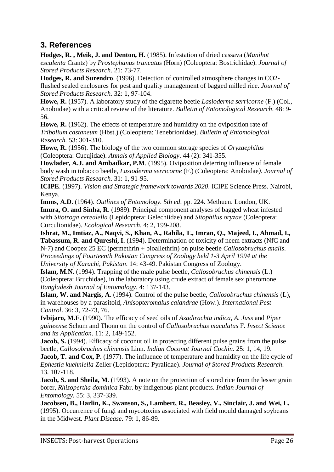# <span id="page-26-0"></span>**3. References**

**Hodges, R. , Meik, J. and Denton, H.** (1985). Infestation of dried cassava (*Manihot esculenta* Crantz) by *Prostephanus truncatus* (Horn) (Coleoptera: Bostrichidae). *Journal of Stored Products Research*. 21: 73-77.

**Hodges, R. and Surendro**. (1996). Detection of controlled atmosphere changes in CO2 flushed sealed enclosures for pest and quality management of bagged milled rice. *Journal of Stored Products Research.* 32: 1, 97-104.

**Howe, R.** (1957). A laboratory study of the cigarette beetle *Lasioderma serricorne* (F.) (Col., Anobiidae) with a critical review of the literature. *Bulletin of Entomological Research*. 48: 9- 56.

**Howe, R.** (1962). The effects of temperature and humidity on the oviposition rate of *Tribolium castaneum* (Hbst.) (Coleoptera: Tenebrionidae). *Bulletin of Entomological Research.* 53: 301-310.

**Howe, R.** (1956). The biology of the two common storage species of *Oryzaephilus* (Coleoptera: Cucujidae). *Annals of Applied Biology*. 44 (2): 341-355.

**Howlader, A.J. and Ambadkar, P.M**. (1995). Oviposition deterring influence of female body wash in tobacco beetle, *Lasioderma serricorne* (F.) (Coleoptera: Anobiidae*). Journal of Stored Products Research.* 31: 1, 91-95.

**ICIPE**. (1997). *Vision and Strategic framework towards 2020*. ICIPE Science Press. Nairobi, Kenya.

**Imms, A.D**. (1964). *Outlines of Entomology. 5th ed*. pp. 224. Methuen. London, UK. **Imura, O. and Sinha, R**. (1989). Principal component analyses of bagged wheat infested with *Sitotroga cerealella* (Lepidoptera: Gelechiidae) and *Sitophilus oryzae* (Coleoptera: Curculionidae). *Ecological Research*. 4: 2, 199-208.

**Ishrat, M., Imtiaz, A., Naqvi, S., Khan, A., Rahila, T., Imran, Q., Majeed, I., Ahmad, I., Tabassum, R. and Qureshi, I.** (1994). Determination of toxicity of neem extracts (NfC and N-7) and Coopex 25 EC (permethrin + bioallethrin) on pulse beetle *Callosobruchus analis*. *Proceedings of Fourteenth Pakistan Congress of Zoology held 1-3 April 1994 at the University of Karachi, Pakistan*. 14: 43-49. Pakistan Congress of Zoology.

**Islam, M.N**. (1994). Trapping of the male pulse beetle, *Callosobruchus chinensis* (L.) (Coleoptera: Bruchidae), in the laboratory using crude extract of female sex pheromone. *Bangladesh Journal of Entomology*. 4: 137-143.

**Islam, W. and Nargis, A**. (1994). Control of the pulse beetle, *Callosobruchus chinensis* (L), in warehouses by a parasitoid, *Anisopteromalus calandrae* (How.). *International Pest Control*. 36: 3, 72-73, 76.

**Ivbijaro, M.F.** (1990). The efficacy of seed oils of *Azadirachta indica*, *A. Juss* and *Piper guineense* Schum and Thonn on the control of *Callosobruchus maculatus* F. *Insect Science and its Application*. 11: 2, 149-152.

**Jacob, S.** (1994). Efficacy of coconut oil in protecting different pulse grains from the pulse beetle, *Callosobruchus chinensis* Linn. *Indian Coconut Journal Cochin*. 25: 1, 14, 19.

**Jacob, T. and Cox, P.** (1977). The influence of temperature and humidity on the life cycle of *Ephestia kuehniella* Zeller (Lepidoptera: Pyralidae). *Journal of Stored Products Research*. 13. 107-118.

**Jacob, S. and Sheila, M**. (1993). A note on the protection of stored rice from the lesser grain borer, *Rhizopertha dominica* Fabr. by indigenous plant products. *Indian Journal of Entomology.* 55: 3, 337-339.

**Jacobsen, B., Harlin, K., Swanson, S., Lambert, R., Beasley, V., Sinclair, J. and Wei, L.** (1995). Occurrence of fungi and mycotoxins associated with field mould damaged soybeans in the Midwest. *Plant Disease*. 79: 1, 86-89.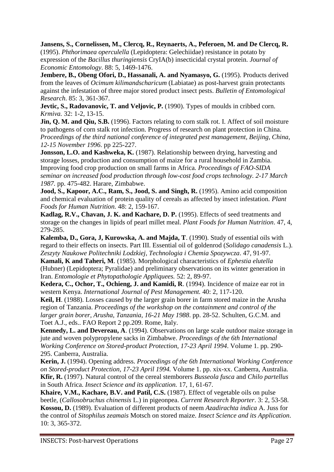**Jansens, S., Cornelissen, M., Clercq, R., Reynaerts, A., Peferoen, M. and De Clercq, R.** (1995). *Phthorimaea operculella* (Lepidoptera: Gelechiidae) resistance in potato by expression of the *Bacillus thuringiensis* CryIA(b) insecticidal crystal protein. *Journal of Economic Entomology*. 88: 5, 1469-1476.

**Jembere, B., Obeng Ofori, D., Hassanali, A. and Nyamasyo, G.** (1995). Products derived from the leaves of *Ocimum kilimandscharicum* (Labiatae) as post-harvest grain protectants against the infestation of three major stored product insect pests. *Bulletin of Entomological Research*. 85: 3, 361-367.

**Jevtic, S., Radovanovic, T. and Veljovic, P.** (1990). Types of moulds in cribbed corn. *Krmiva.* 32: 1-2, 13-15.

**Jin, Q. M. and Qiu, S.B.** (1996). Factors relating to corn stalk rot. I. Affect of soil moisture to pathogens of corn stalk rot infection. Progress of research on plant protection in China. *Proceedings of the third national conference of integrated pest management, Beijing, China, 12-15 November 1996*. pp 225-227.

**Jonsson, L.O. and Kashweka, K.** (1987). Relationship between drying, harvesting and storage losses, production and consumption of maize for a rural household in Zambia. Improving food crop production on small farms in Africa*. Proceedings of FAO-SIDA seminar on increased food production through low-cost food crops technology. 2-17 March 1987.* pp. 475-482. Harare, Zimbabwe.

**Jood, S., Kapoor, A.C., Ram, S., Jood, S. and Singh, R.** (1995). Amino acid composition and chemical evaluation of protein quality of cereals as affected by insect infestation. *Plant Foods for Human Nutrition.* 48: 2, 159-167.

**Kadlag, R.V., Chavan, J. K. and Kachare, D. P.** (1995). Effects of seed treatments and storage on the changes in lipids of pearl millet meal. *Plant Foods for Human Nutrition*. 47, 4, 279-285.

**Kalemba, D., Gora, J, Kurowska, A. and Majda, T**. (1990). Study of essential oils with regard to their effects on insects. Part III. Essential oil of goldenrod (*Solidago canadensis* L.). *Zeszyty Naukowe Politechniki Lodzkiej, Technologia i Chemia Spozywcza*. 47, 91-97.

**Kamali, K and Taheri, M**. (1985). Morphological characteristics of *Ephestia elutella* (Hubner) (Lepidoptera; Pyralidae) and preliminary observations on its winter generation in Iran. *Entomologie et Phytopathologie Appliquees.* 52: 2, 89-97.

**Kedera, C., Ochor, T., Ochieng, J. and Kamidi, R**. (1994). Incidence of maize ear rot in western Kenya. *International Journal of Pest Management.* 40: 2, 117-120.

**Keil, H**. (1988). Losses caused by the larger grain borer in farm stored maize in the Arusha region of Tanzania. *Proceedings of the workshop on the containment and control of the larger grain borer, Arusha, Tanzania, 16-21 May 1988*. pp. 28-52. Schulten, G.C.M. and Toet A.J., eds.. FAO Report 2 pp.209. Rome, Italy.

**Kennedy, L. and Devereau, A**. (1994). Observations on large scale outdoor maize storage in jute and woven polypropylene sacks in Zimbabwe. *Proceedings of the 6th International Working Conference on Stored-product Protection, 17-23 April 1994*. Volume 1. pp. 290- 295. Canberra, Australia.

**Kerin, J.** (1994). Opening address. *Proceedings of the 6th International Working Conference on Stored-product Protection, 17-23 April 1994.* Volume 1. pp. xix-xx. Canberra, Australia. **Kfir, R.** (1997). Natural control of the cereal stemborers *Busseola fusca* and *Chilo partellus* in South Africa. *Insect Science and its application.* 17, 1, 61-67.

**Khaire, V.M., Kachare, B.V. and Patil, C.S.** (1987). Effect of vegetable oils on pulse beetle, (*Callosobruchus chinensis* L.) in pigeonpea. *Current Research Reporter*. 3: 2, 53-58. **Kossou, D.** (1989). Evaluation of different products of neem *Azadirachta indica* A. Juss for the control of *Sitophilus zeamais* Motsch on stored maize. *Insect Science and its Application*. 10: 3, 365-372.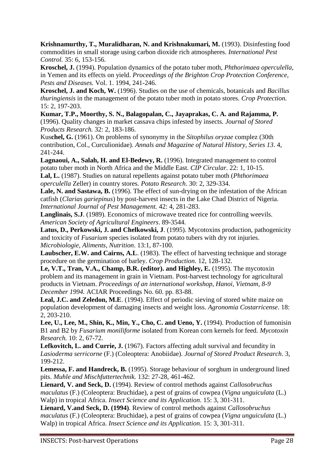**Krishnamurthy, T., Muralidharan, N. and Krishnakumari, M.** (1993). Disinfesting food commodities in small storage using carbon dioxide rich atmospheres. *International Pest Control.* 35: 6, 153-156.

**Kroschel, J.** (1994). Population dynamics of the potato tuber moth, *Phthorimaea operculella*, in Yemen and its effects on yield. *Proceedings of the Brighton Crop Protection Conference, Pests and Diseases.* Vol. 1. 1994, 241-246.

**Kroschel, J. and Koch, W.** (1996). Studies on the use of chemicals, botanicals and *Bacillus thuringiensis* in the management of the potato tuber moth in potato stores. *Crop Protection.* 15: 2, 197-203.

**Kumar, T.P., Moorthy, S. N., Balagopalan, C., Jayaprakas, C. A. and Rajamma, P.** (1996). Quality changes in market cassava chips infested by insects. *Journal of Stored Products Research.* 32: 2, 183-186.

Kus**chel, G.** (1961). On problems of synonymy in the *Sitophilus oryzae* complez (30th contribution, Col., Curculionidae). *Annals and Magazine of Natural History, Series 13*. 4, 241-244.

**Lagnaoui, A., Salah, H. and El-Bedewy, R.** (1996). Integrated management to control potato tuber moth in North Africa and the Middle East. *CIP Circular*. 22: 1, 10-15. **Lal, L.** (1987). Studies on natural repellents against potato tuber moth (*Phthorimaea operculella* Zeller) in country stores. *Potato Research*. 30: 2, 329-334.

**Lale, N. and Sastawa, B.** (1996). The effect of sun-drying on the infestation of the African catfish (*Clarias gariepinus*) by post-harvest insects in the Lake Chad District of Nigeria. *International Journal of Pest Management.* 42: 4, 281-283.

Langlinais, S.J. (1989). Economics of microwave treated rice for controlling weevils. *American Society of Agricultural Engineers*. 89-3544.

**Latus, D., Perkowski, J. and Chelkowski, J**. (1995). Mycotoxins production, pathogenicity and toxicity of *Fusarium* species isolated from potato tubers with dry rot injuries. *Microbiologie, Aliments, Nutrition*. 13:1, 87-100.

Laubscher, E.W. and Cairns, A.L. (1983). The effect of harvesting technique and storage procedure on the germination of barley. *Crop Production*. 12, 128-132.

**Le, V.T., Tran, V.A., Champ, B.R. (editor). and Highley, E.** (1995). The mycotoxin problem and its management in grain in Vietnam. Post-harvest technology for agricultural products in Vietnam. *Proceedings of an international workshop, Hanoi, Vietnam, 8-9 December 1994.* ACIAR Proceedings No. 60. pp. 83-88.

**Leal, J.C. and Zeledon, M.E**. (1994). Effect of periodic sieving of stored white maize on population development of damaging insects and weight loss. *Agronomia Costarricense*. 18: 2, 203-210.

**Lee, U., Lee, M., Shin, K., Min, Y., Cho, C. and Ueno, Y.** (1994). Production of fumonisin B1 and B2 by *Fusarium moniliforme* isolated from Korean corn kernels for feed. *Mycotoxin Research.* 10: 2, 67-72.

**Lefkovitch, L. and Currie, J.** (1967). Factors affecting adult survival and fecundity in *Lasioderma serricorne* (F.) (Coleoptera: Anobiidae). *Journal of Stored Product Research*. 3, 199-212.

**Lemessa, F. and Handreck, B.** (1995). Storage behaviour of sorghum in underground lined pits. *Muhle and Mischfuttertechnik.* 132: 27-28, 461-462.

**Lienard, V. and Seck, D.** (1994). Review of control methods against *Callosobruchus maculatus* (F.) (Coleoptera: Bruchidae), a pest of grains of cowpea (*Vigna unguiculata* (L.) Walp) in tropical Africa. *Insect Science and its Application*. 15: 3, 301-311.

**Lienard, V.and Seck, D. (1994)**. Review of control methods against *Callosobruchus maculatus* (F.) (Coleoptera: Bruchidae), a pest of grains of cowpea (*Vigna unguiculata* (L.) Walp) in tropical Africa. *Insect Science and its Application*. 15: 3, 301-311.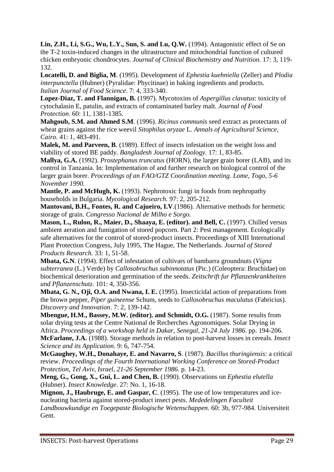**Lin, Z.H., Li, S.G., Wu, L.Y., Sun, S. and Lu, Q.W.** (1994). Antagonistic effect of Se on the T-2 toxin-induced changes in the ultrastructure and mitochondrial function of cultured chicken embryonic chondrocytes. *Journal of Clinical Biochemistry and Nutrition.* 17: 3, 119- 132.

**Locatelli, D. and Biglia, M**. (1995). Development of *Ephestia kuehniella* (Zeller) and *Plodia interpunctella* (Hubner) (Pyralidae: Phycitinae) in baking ingredients and products. *Italian Journal of Food Science*. 7: 4, 333-340.

**Lopez-Diaz, T. and Flannigan, B.** (1997). Mycotoxins of *Aspergillus clavatus*: toxicity of cytochalasin E, patulin, and extracts of contaminated barley malt. *Journal of Food Protection*. 60: 11, 1381-1385.

**Mahgoub, S.M. and Ahmed S.M**. (1996). *Ricinus communis* seed extract as protectants of wheat grains against the rice weevil *Sitophilus oryzae* L. *Annals of Agricultural Science, Cairo.* 41: 1, 483-491.

**Malek, M. and Parveen, B**. (1989). Effect of insects infestation on the weight loss and viability of stored BE paddy. *Bangladesh Journal of Zoology*. 17: 1, 83-85.

**Mallya, G.A.** (1992). *Prostephanus truncatus* (HORN), the larger grain borer (LAB), and its control in Tanzania. In: Implementation of and further research on biological control of the larger grain borer. *Proceedings of an FAO/GTZ Coordination meeting. Lome, Togo, 5-6 November 1990.*

**Mantle, P. and McHugh, K.** (1993). Nephrotoxic fungi in foods from nephropathy households in Bulgaria. *Mycological Research.* 97: 2, 205-212.

**Mantovani, B.H., Fontes, R. and Cajueiro, I.V**.(1986). Alternative methods for hermetic storage of grain. *Congresso Nacional de Milho e Sorgo.*

**Mason, L., Rulon, R., Maier, D., Shaaya, E. (editor). and Bell, C.** (1997). Chilled versus ambient aeration and fumigation of stored popcorn. Part 2: Pest management. Ecologically safe alternatives for the control of stored-product insects. Proceedings of XIII International Plant Protection Congress, July 1995, The Hague, The Netherlands. *Journal of Stored Products Research.* 33: 1, 51-58.

**Mbata, G.N**. (1994). Effect of infestation of cultivars of bambarra groundnuts (*Vigna subterranea* (L.) Verde) by *Callosobruchus subinnotatus* (Pic.) (Coleoptera: Bruchidae) on biochemical deterioration and germination of the seeds. *Zeitschrift fur Pflanzenkrankheiten und Pflanzenschutz*. 101: 4, 350-356.

**Mbata, G. N., Oji, O.A. and Nwana, I. E.** (1995). Insecticidal action of preparations from the brown pepper, *Piper guineense* Schum, seeds to *Callosobruchus maculatus* (Fabricius). *Discovery and Innovation*. 7: 2, 139-142.

**Mbengue, H.M., Bassey, M.W. (editor). and Schmidt, O.G.** (1987). Some results from solar drying tests at the Centre National de Recherches Agronomiques. Solar Drying in Africa. *Proceedings of a workshop held in Dakar, Senegal, 21-24 July 1986*. pp. 194-206. **McFarlane, J.A.** (1988). Storage methods in relation to post-harvest losses in cereals. *Insect* 

*Science and its Application*. 9: 6, 747-754.

**McGaughey, W.H., Donahaye, E. and Navarro, S**. (1987). *Bacillus thuringiensis*: a critical review. *Proceedings of the Fourth International Working Conference on Stored-Product Protection, Tel Aviv, Israel, 21-26 September 1986.* p. 14-23.

**Meng, G., Gong, X., Gui, L. and Chen, B.** (1990). Observations on *Ephestia elutella* (Hubner). *Insect Knowledge*. 27: No. 1, 16-18.

**Mignon, J., Haubruge, E. and Gaspar, C**. (1995). The use of low temperatures and icenucleating bacteria against stored-product insect pests. *Mededelingen Faculteit Landbouwkundige en Toegepaste Biologische Wetenschappen*. 60: 3b, 977-984. Universiteit Gent.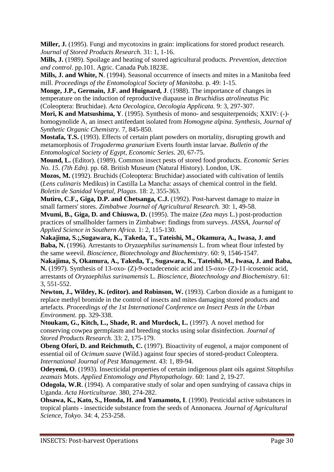**Miller, J.** (1995). Fungi and mycotoxins in grain: implications for stored product research. *Journal of Stored Products Research.* 31: 1, 1-16.

**Mills, J.** (1989). Spoilage and heating of stored agricultural products. *Prevention, detection and control*. pp.101. Agric. Canada Pub.1823E.

**Mills, J. and White, N**. (1994). Seasonal occurrence of insects and mites in a Manitoba feed mill. *Proceedings of the Entomological Society of Manitoba.* p. 49: 1-15.

**Monge, J.P., Germain, J.F. and Huignard, J**. (1988). The importance of changes in temperature on the induction of reproductive diapause in *Bruchidius atrolineatus* Pic (Coleoptera: Bruchidae). *Acta Oecologica, Oecologia Applicata.* 9: 3, 297-307.

**Mori, K and Matsushima, Y**. (1995). Synthesis of mono- and sesquiterpenoids; XXIV: (-) homogynolide A, an insect antifeedant isolated from *Homogyne alpina*. *Synthesis, Journal of Synthetic Organic Chemistry.* 7, 845-850.

**Mostafa, T.S.** (1993). Effects of certain plant powders on mortality, disrupting growth and metamorphosis of *Trogoderma granarium* Everts fourth instar larvae. *Bulletin of the Entomological Society of Egypt, Economic Series.* 20, 67-75.

**Mound, L.** (Editor). (1989). Common insect pests of stored food products. *Economic Series No. 15. (7th Edn)*. pp. 68. British Museum (Natural History). London, UK.

**Mozos, M.** (1992). Bruchids (Coleoptera: Bruchidae) associated with cultivation of lentils (*Lens culinaris* Medikus) in Castilla La Mancha: assays of chemical control in the field. *Boletin de Sanidad Vegetal, Plagas*. 18: 2, 355-363.

**Mutiro, C.F., Giga, D.P. and Chetsanga, C.J.** (1992). Post-harvest damage to maize in small farmers' stores. *Zimbabwe Journal of Agricultural Research.* 30: 1, 49-58.

**Mvumi, B., Giga, D. and Chiuswa, D.** (1995). The maize (*Zea mays* L.) post-production practices of smallholder farmers in Zimbabwe: findings from surveys. *JASSA, Journal of Applied Science in Southern Africa.* 1: 2, 115-130.

**Nakajima, S.;,Sugawara, K., Takeda, T., Tateishi, M., Okamura, A., Iwasa, J. and Baba, N.** (1996). Arrestants to *Oryzaephilus surinamensis* L. from wheat flour infested by the same weevil. *Bioscience, Biotechnology and Biochemistry*. 60: 9, 1546-1547.

**Nakajima, S, Okamura, A., Takeda, T., Sugawara, K., Tateishi, M., Iwasa, J. and Baba, N.** (1997). Synthesis of 13-oxo- (Z)-9-octadecenoic acid and 15-oxo- (Z)-11-icosenoic acid, arrestants of *Oryzaephilus surinamensis* L. *Bioscience, Biotechnology and Biochemistry*. 61: 3, 551-552.

**Newton, J., Wildey, K. (editor). and Robinson, W.** (1993). Carbon dioxide as a fumigant to replace methyl bromide in the control of insects and mites damaging stored products and artefacts. *Proceedings of the 1st International Conference on Insect Pests in the Urban Environment.* pp. 329-338.

**Ntoukam, G., Kitch, L., Shade, R. and Murdock, L.** (1997). A novel method for conserving cowpea germplasm and breeding stocks using solar disinfection*. Journal of Stored Products Research.* 33: 2, 175-179.

**Obeng Ofori, D. and Reichmuth, C.** (1997). Bioactivity of eugenol, a major component of essential oil of *Ocimum suave* (Wild.) against four species of stored-product Coleoptera. *International Journal of Pest Management*. 43: 1, 89-94.

**Odeyemi, O**. (1993). Insecticidal properties of certain indigenous plant oils against *Sitophilus zeamais* Mots. *Applied Entomology and Phytopathology*. 60: 1and 2, 19-27.

**Odogola, W.R**. (1994). A comparative study of solar and open sundrying of cassava chips in Uganda. *Acta Horticulturae*. 380, 274-282.

**Ohsawa, K., Kato, S., Honda, H. and Yamamoto, I**. (1990). Pesticidal active substances in tropical plants - insecticide substance from the seeds of Annonacea*. Journal of Agricultural Science, Tokyo*. 34: 4, 253-258.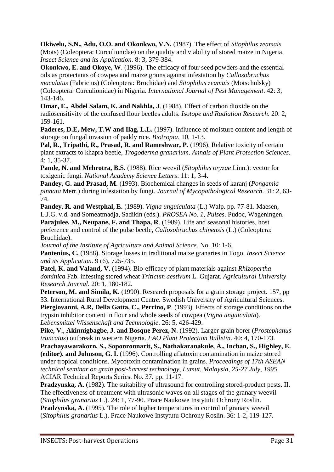**Okiwelu, S.N., Adu, O.O. and Okonkwo, V.N.** (1987). The effect of *Sitophilus zeamais* (Mots) (Coleoptera: Curculionidae) on the quality and viability of stored maize in Nigeria. *Insect Science and its Application.* 8: 3, 379-384.

**Okonkwo, E. and Okoye, W.** (1996). The efficacy of four seed powders and the essential oils as protectants of cowpea and maize grains against infestation by *Callosobruchus maculatus* (Fabricius) (Coleoptera: Bruchidae) and *Sitophilus zeamais* (Motschulsky) (Coleoptera: Curculionidae) in Nigeria. *International Journal of Pest Management*. 42: 3, 143-146.

**Omar, E., Abdel Salam, K. and Nakhla, J**. (1988). Effect of carbon dioxide on the radiosensitivity of the confused flour beetles adults. *Isotope and Radiation Research*. 20: 2, 159-161.

Paderes, D.E, Mew, T.W and Ilag, L.L. (1997). Influence of moisture content and length of storage on fungal invasion of paddy rice. *Biotropia*. 10, 1-13.

**Pal, R., Tripathi, R., Prasad, R. and Rameshwar, P.** (1996). Relative toxicity of certain plant extracts to khapra beetle, *Trogoderma granarium*. *Annals of Plant Protection Sciences*. 4: 1, 35-37.

**Pande, N. and Mehrotra, B.S**. (1988). Rice weevil (*Sitophilus oryzae* Linn.): vector for toxigenic fungi. *National Academy Science Letters*. 11: 1, 3-4.

**Pandey, G. and Prasad, M**. (1993). Biochemical changes in seeds of karanj (*Pongamia pinnata* Merr.) during infestation by fungi. *Journal of Mycopathological Research*. 31: 2, 63- 74.

**Pandey, R. and Westphal, E.** (1989). *Vigna unguiculata* (L.) Walp. pp. 77-81. Maesen, L.J.G. v.d. and Someatmadja, Sadikin (eds.). *PROSEA No. 1, Pulses*. Pudoc, Wageningen. **Parajulee, M., Neupane, F. and Thapa, R**. (1989). Life and seasonal histories, host preference and control of the pulse beetle, *Callosobruchus chinensis* (L.) (Coleoptera: Bruchidae).

*Journal of the Institute of Agriculture and Animal Science*. No. 10: 1-6. **Pantenius, C.** (1988). Storage losses in traditional maize granaries in Togo. *Insect Science and its Application*. 9 (6), 725-735.

**Patel, K. and Valand, V.** (1994). Bio-efficacy of plant materials against *Rhizopertha dominica* Fab. infesting stored wheat *Triticum aestivum* L. Gujarat. *Agricultural University Research Journal.* 20: 1, 180-182.

Peterson, M. and Simila, K. (1990). Research proposals for a grain storage project. 157, pp 33. International Rural Development Centre. Swedish University of Agricultural Sciences.

**Piergiovanni, A.R, Della Gatta, C., Perrino, P**. (1993). Effects of storage conditions on the trypsin inhibitor content in flour and whole seeds of cowpea (*Vigna unguiculata*). *Lebensmittel Wissenschaft and Technologie*. 26: 5, 426-429.

**Pike, V., Akinnigbagbe, J. and Bosque Perez, N**. (1992). Larger grain borer (*Prostephanus truncatus*) outbreak in western Nigeria. *FAO Plant Protection Bulletin*. 40: 4, 170-173.

**Prachayawarakorn, S., Soponronnarit, S., Nathakaranakule, A., Inchan, S., Highley, E. (editor). and Johnson, G. I.** (1996). Controlling aflatoxin contamination in maize stored under tropical conditions. Mycotoxin contamination in grains. *Proceedings of 17th ASEAN technical seminar on grain post-harvest technology, Lumut, Malaysia, 25-27 July, 1995*. ACIAR Technical Reports Series. No. 37. pp. 11-17.

**Pradzynska, A.** (1982). The suitability of ultrasound for controlling stored-product pests. II. The effectiveness of treatment with ultrasonic waves on all stages of the granary weevil (*Sitophilus granarius* L.). 24: 1, 77-90. Prace Naukowe Instytutu Ochrony Roslin.

**Pradzynska, A**. (1995). The role of higher temperatures in control of granary weevil (*Sitophilus granarius* L.). Prace Naukowe Instytutu Ochrony Roslin. 36: 1-2, 119-127.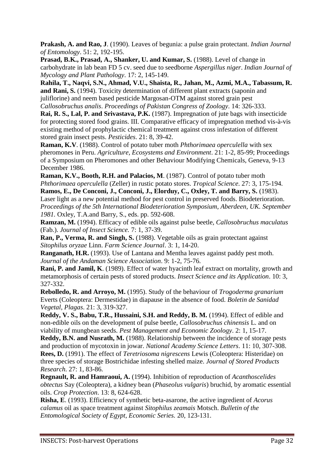**Prakash, A. and Rao, J**. (1990). Leaves of begunia: a pulse grain protectant. *Indian Journal of Entomology*. 51: 2, 192-195.

**Prasad, B.K., Prasad, A., Shanker, U. and Kumar, S.** (1988). Level of change in carbohydrate in lab bean FD 5 cv. seed due to seedborne *Aspergillus niger*. *Indian Journal of Mycology and Plant Pathology*. 17: 2, 145-149.

**Rahila, T., Naqvi, S.N., Ahmad, V.U., Shaista, R., Jahan, M., Azmi, M.A., Tabassum, R. and Rani, S.** (1994). Toxicity determination of different plant extracts (saponin and juliflorine) and neem based pesticide Margosan-OTM against stored grain pest *Callosobruchus analis*. *Proceedings of Pakistan Congress of Zoology*. 14: 326-333.

**Rai, R. S., Lal, P. and Srivastava, P.K.** (1987). Impregnation of jute bags with insecticide for protecting stored food grains. III. Comparative efficacy of impregnation method vis-à-vis existing method of prophylactic chemical treatment against cross infestation of different stored grain insect pests. *Pesticides*. 21: 8, 39-42.

**Raman, K.V**. (1988). Control of potato tuber moth *Phthorimaea operculella* with sex pheromones in Peru. *Agriculture, Ecosystems and Environment*. 21: 1-2, 85-99; Proceedings of a Symposium on Pheromones and other Behaviour Modifying Chemicals, Geneva, 9-13 December 1986.

**Raman, K.V., Booth, R.H. and Palacios, M**. (1987). Control of potato tuber moth *Phthorimaea operculella* (Zeller) in rustic potato stores. *Tropical Science*. 27: 3, 175-194.

**Ramos, E., De Conconi, J., Conconi, J., Elorduy, C., Oxley, T. and Barry, S.** (1983). Laser light as a new potential method for pest control in preserved foods. Biodeterioration. *Proceedings of the 5th International Biodeterioration Symposium, Aberdeen, UK. September 1981.* Oxley, T.A.and Barry, S., eds. pp. 592-608.

**Ramzan, M.** (1994). Efficacy of edible oils against pulse beetle, *Callosobruchus maculatus* (Fab.). *Journal of Insect Science.* 7: 1, 37-39.

**Ran, P., Verma, R. and Singh, S.** (1988). Vegetable oils as grain protectant against *Sitophilus oryzae* Linn. *Farm Science Journal*. 3: 1, 14-20.

**Ranganath, H.R.** (1993). Use of Lantana and Mentha leaves against paddy pest moth. *Journal of the Andaman Science Association*. 9: 1-2, 75-76.

**Rani, P. and Jamil, K**. (1989). Effect of water hyacinth leaf extract on mortality, growth and metamorphosis of certain pests of stored products. *Insect Science and its Application*. 10: 3, 327-332.

**Rebolledo, R. and Arroyo, M.** (1995). Study of the behaviour of *Trogoderma granarium* Everts (Coleoptera: Dermestidae) in diapause in the absence of food. *Boletin de Sanidad Vegetal, Plagas*. 21: 3, 319-327.

**Reddy, V. S., Babu, T.R., Hussaini, S.H. and Reddy, B. M.** (1994). Effect of edible and non-edible oils on the development of pulse beetle, *Callosobruchus chinensis* L. and on viability of mungbean seeds. *Pest Management and Economic Zoology*. 2: 1, 15-17.

**Reddy, B.N. and Nusrath, M.** (1988). Relationship between the incidence of storage pests and production of mycotoxin in jowar. *National Academy Science Letters*. 11: 10, 307-308. **Rees, D.** (1991). The effect of *Teretriosoma nigrescens* Lewis (Coleoptera: Histeridae) on three species of storage Bostrichidae infesting shelled maize. *Journal of Stored Products Research*. 27: 1, 83-86.

**Regnault, R. and Hamraoui, A.** (1994). Inhibition of reproduction of *Acanthoscelides obtectus* Say (Coleoptera), a kidney bean (*Phaseolus vulgaris*) bruchid, by aromatic essential oils. *Crop Protection*. 13: 8, 624-628.

**Risha, E**. (1993). Efficiency of synthetic beta-asarone, the active ingredient of *Acorus calamus* oil as space treatment against *Sitophilus zeamais* Motsch. *Bulletin of the Entomological Society of Egypt, Economic Series.* 20, 123-131.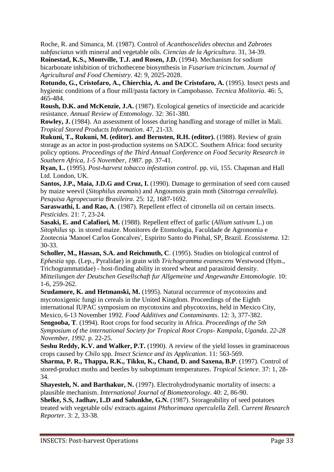Roche, R. and Simanca, M. (1987). Control of *Acanthoscelides obtectus* and *Zabrotes subfasciatus* with mineral and vegetable oils. *Ciencias de la Agricultura*. 31, 34-39.

**Roinestad, K.S., Montville, T.J. and Rosen, J.D.** (1994). Mechanism for sodium bicarbonate inhibition of trichothecene biosynthesis in *Fusarium tricinctum. Journal of Agricultural and Food Chemistry*. 42: 9, 2025-2028.

Rotundo, G., Cristofaro, A., Chierchia, A. and De Cristofaro, A. (1995). Insect pests and hygienic conditions of a flour mill/pasta factory in Campobasso. *Tecnica Molitoria*. 46: 5, 465-484.

**Roush, D.K. and McKenzie, J.A.** (1987). Ecological genetics of insecticide and acaricide resistance. *Annual Review of Entomology*. 32: 361-380.

**Rowley, J.** (1984). An assessment of losses during handling and storage of millet in Mali*. Tropical Stored Products Information*. 47, 21-33.

**Rukuni, T., Rukuni, M. (editor). and Bernsten, R.H. (editor).** (1988). Review of grain storage as an actor in post-production systems on SADCC. Southern Africa: food security policy options. *Proceedings of the Third Annual Conference on Food Security Research in Southern Africa, 1-5 November, 1987.* pp. 37-41.

**Ryan, L.** (1995). *Post-harvest tobacco infestation control*. pp. vii, 155. Chapman and Hall Ltd. London, UK.

**Santos, J.P., Maia, J.D.G and Cruz, I.** (1990). Damage to germination of seed corn caused by maize weevil (*Sitophilus zeamais*) and Angoumois grain moth (*Sitotroga cerealella*). *Pesquisa Agropecuaria Brasileira*. 25: 12, 1687-1692.

**Saraswathi, L and Rao, A**. (1987). Repellent effect of citronella oil on certain insects. *Pesticides*. 21: 7, 23-24.

**Sasaki, E. and Calafiori, M.** (1988). Repellent effect of garlic (*Allium sativum* L.) on *Sitophilus* sp. in stored maize. Monitores de Etomologia, Faculdade de Agronomia e Zootecnia 'Manoel Carlos Goncalves', Espirito Santo do Pinhal, SP, Brazil. *Ecossistema*. 12: 30-33.

**Scholler, M., Hassan, S.A. and Reichmuth, C**. (1995). Studies on biological control of *Ephestia* spp. (Lep., Pyralidae) in grain with *Trichogramma evanescens* Westwood (Hym., Trichogrammatidae) - host-finding ability in stored wheat and parasitoid density.

*Mitteilungen der Deutschen Gesellschaft fur Allgemeine und Angewandte Entomologie*. 10: 1-6, 259-262.

**Scudamore, K. and Hetmanski, M.** (1995). Natural occurrence of mycotoxins and mycotoxigenic fungi in cereals in the United Kingdom. Proceedings of the Eighth international IUPAC symposium on mycotoxins and phycotoxins, held in Mexico City,

Mexico, 6-13 November 1992. *Food Additives and Contaminants*. 12: 3, 377-382. **Sengooba, T**. (1994). Root crops for food security in Africa. *Proceedings of the 5th Symposium of the international Society for Tropical Root Crops- Kampala, Uganda. 22-28 November, 1992.* p. 22-25.

**Seshu Reddy, K.V. and Walker, P.T.** (1990). A review of the yield losses in graminaceous crops caused by *Chilo* spp. *Insect Science and its Application*. 11: 563-569.

**Sharma, P. R., Thappa, R.K., Tikku, K., Chand, D. and Saxena, B.P**. (1997). Control of stored-product moths and beetles by suboptimum temperatures. *Tropical Science*. 37: 1, 28- 34.

**Shayesteh, N. and Barthakur, N.** (1997). Electrohydrodynamic mortality of insects: a plausible mechanism. *International Journal of Biometeorology*. 40: 2, 86-90.

**Shelke, S.S, Jadhav, L.D and Salunkhe, G.N.** (1987). Storageability of seed potatoes treated with vegetable oils/ extracts against *Phthorimaea operculella* Zell. *Current Research Reporter*. 3: 2, 33-38.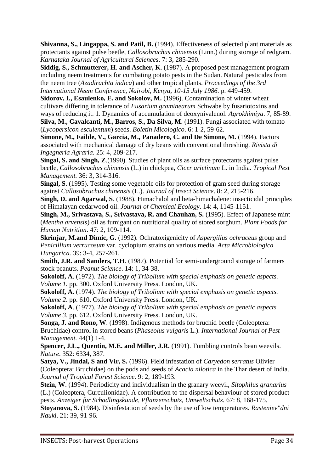**Shivanna, S., Lingappa, S. and Patil, B.** (1994). Effectiveness of selected plant materials as protectants against pulse beetle, *Callosobruchus chinensis* (Linn.) during storage of redgram. *Karnataka Journal of Agricultural Sciences*. 7: 3, 285-290.

**Siddig, S., Schmutterer, H**. **and Ascher, K**. (1987). A proposed pest management program including neem treatments for combating potato pests in the Sudan. Natural pesticides from the neem tree (*Azadirachta indica*) and other tropical plants. *Proceedings of the 3rd International Neem Conference, Nairobi, Kenya, 10-15 July 1986.* p. 449-459.

**Sidorov, I., Esaulenko, E. and Sokolov, M.** (1996). Contamination of winter wheat cultivars differing in tolerance of *Fusarium graminearum* Schwabe by fusariotoxins and ways of reducing it. 1. Dynamics of accumulation of deoxynivalenol. *Agrokhimiya*. 7, 85-89.

**Silva, M., Cavalcanti, M., Barros, S., Da Silva, M**. (1991). Fungi associated with tomato (*Lycopersicon esculentum*) seeds. *Boletin Micologico*. 6: 1-2, 59-62.

**Simone, M., Failde, V., Garcia, M., Panadero, C. and De Simone, M.** (1994). Factors associated with mechanical damage of dry beans with conventional threshing. *Rivista di Ingegneria Agraria.* 25: 4, 209-217.

**Singal, S. and Singh, Z**.(1990). Studies of plant oils as surface protectants against pulse beetle, *Callosobruchus chinensis* (L.) in chickpea, *Cicer arietinum* L. in India. *Tropical Pest Management.* 36: 3, 314-316.

**Singal, S**. (1995). Testing some vegetable oils for protection of gram seed during storage against *Callosobruchus chinensis* (L.). *Journal of Insect Science*. 8: 2, 215-216.

**Singh, D. and Agarwal, S**. (1988). Himachalol and beta-himachalene: insecticidal principles of Himalayan cedarwood oil. *Journal of Chemical Ecology*. 14: 4, 1145-1151.

**Singh, M., Srivastava, S., Srivastava, R. and Chauhan, S.** (1995). Effect of Japanese mint (*Mentha arvensis*) oil as fumigant on nutritional quality of stored sorghum. *Plant Foods for Human Nutrition*. 47: 2, 109-114.

**Skrinjar, M.and Dimic, G.** (1992). Ochratoxigenicity of *Aspergillus ochraceus* group and *Penicillium verrucosum* var. cyclopium strains on various media. *Acta Microbiologica Hungarica.* 39: 3-4, 257-261.

**Smith, J.R. and Sanders, T.H**. (1987). Potential for semi-underground storage of farmers stock peanuts. *Peanut Science*. 14: 1, 34-38.

**Sokoloff, A**. (1972). *The biology of Tribolium with special emphasis on genetic aspects. Volume 1.* pp. 300. Oxford University Press. London, UK.

**Sokoloff, A**. (1974). *The biology of Tribolium with special emphasis on genetic aspects. Volume 2*. pp. 610. Oxford University Press. London, UK.

**Sokoloff, A**. (1977). *The biology of Tribolium with special emphasis on genetic aspects. Volume 3*. pp. 612. Oxford University Press. London, UK.

**Songa, J. and Rono, W**. (1998). Indigenous methods for bruchid beetle (Coleoptera: Bruchidae) control in stored beans (*Phaseolus vulgaris* L.). *International Journal of Pest Management.* 44(1) 1-4.

**Spencer, J.L., Quentin, M.E. and Miller, J.R.** (1991). Tumbling controls bean weevils. *Nature*. 352: 6334, 387.

**Satya, V., Jindal, S and Vir, S.** (1996). Field infestation of *Caryedon serratus* Olivier (Coleoptera: Bruchidae) on the pods and seeds of *Acacia nilotica* in the Thar desert of India. *Journal of Tropical Forest Science*. 9: 2, 189-193.

**Stein, W**. (1994). Periodicity and individualism in the granary weevil, *Sitophilus granarius* (L.) (Coleoptera, Curculionidae). A contribution to the dispersal behaviour of stored product pests. *Anzeiger fur Schadlingskunde, Pflanzenschutz, Umweltschutz.* 67: 8, 168-175.

**Stoyanova, S.** (1984). Disinfestation of seeds by the use of low temperatures. *Rasteniev"dni Nauki*. 21: 39, 91-96.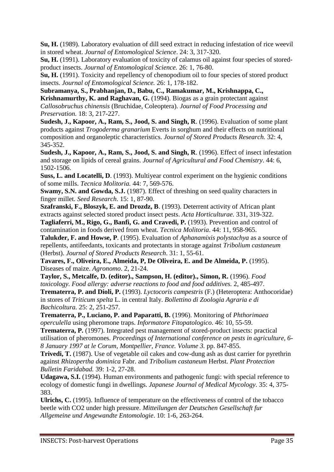**Su, H.** (1989). Laboratory evaluation of dill seed extract in reducing infestation of rice weevil in stored wheat. *Journal of Entomological Science*. 24: 3, 317-320.

**Su, H.** (1991). Laboratory evaluation of toxicity of calamus oil against four species of storedproduct insects. *Journal of Entomological Science.* 26: 1, 76-80.

**Su, H.** (1991). Toxicity and repellency of chenopodium oil to four species of stored product insects. *Journal of Entomological Science.* 26: 1, 178-182.

**Subramanya, S., Prabhanjan, D., Babu, C., Ramakumar, M., Krishnappa, C., Krishnamurthy, K. and Raghavan, G.** (1994). Biogas as a grain protectant against *Callosobruchus chinensis* (Bruchidae, Coleoptera). *Journal of Food Processing and Preservation.* 18: 3, 217-227.

**Sudesh, J., Kapoor, A., Ram, S., Jood, S. and Singh, R**. (1996). Evaluation of some plant products against *Trogoderma granarium* Everts in sorghum and their effects on nutritional composition and organoleptic characteristics. *Journal of Stored Products Research.* 32: 4, 345-352.

**Sudesh, J., Kapoor, A., Ram, S., Jood, S. and Singh, R**. (1996). Effect of insect infestation and storage on lipids of cereal grains. *Journal of Agricultural and Food Chemistry*. 44: 6, 1502-1506.

**Suss, L. and Locatelli, D.** (1993). Multivear control experiment on the hygienic conditions of some mills. *Tecnica Molitoria.* 44: 7, 569-576.

**Swamy, S.N. and Gowda, S.J.** (1987). Effect of threshing on seed quality characters in finger millet. *Seed Research*. 15: 1, 87-90.

**Szafranski, F., Bloszyk, E. and Drozdz, B**. (1993). Deterrent activity of African plant extracts against selected stored product insect pests. *Acta Horticulturae*. 331, 319-322.

**Tagliaferri, M., Rigo, G., Banfi, G. and Cravedi, P.** (1993). Prevention and control of contamination in foods derived from wheat. *Tecnica Molitoria*. 44: 11, 958-965.

**Talukder, F. and Howse, P**. (1995). Evaluation of *Aphanamixis polystachya* as a source of repellents, antifeedants, toxicants and protectants in storage against *Tribolium castaneum*  (Herbst). *Journal of Stored Products Research*. 31: 1, 55-61.

**Tavares, F., Oliveira, E., Almeida, P, De Oliveira, E. and De Almeida, P.** (1995). Diseases of maize. *Agronomo*. 2, 21-24.

**Taylor, S., Metcalfe, D. (editor)., Sampson, H. (editor)., Simon, R.** (1996). *Food toxicology. Food allergy: adverse reactions to food and food additives.* 2, 485-497.

**Trematerra, P. and Dioli, P.** (1993). *Lyctocoris campestris* (F.) (Heteroptera: Anthocoridae) in stores of *Triticum spelta* L. in central Italy. *Bollettino di Zoologia Agraria e di Bachicoltura.* 25: 2, 251-257.

**Trematerra, P., Luciano, P. and Paparatti, B.** (1996). Monitoring of *Phthorimaea operculella* using pheromone traps. *Informatore Fitopatologico*. 46: 10, 55-59.

**Trematerra, P.** (1997). Integrated pest management of stored-product insects: practical utilisation of pheromones. *Proceedings of International conference on pests in agriculture, 6- 8 January 1997 at le Corum, Montpellier, France. Volume 3.* pp. 847-855.

**Trivedi, T.** (1987). Use of vegetable oil cakes and cow-dung ash as dust carrier for pyrethrin against *Rhizopertha dominica* Fabr. and *Tribolium castaneum* Herbst. *Plant Protection Bulletin Faridabad.* 39: 1-2, 27-28.

**Udagawa, S.I.** (1994). Human environments and pathogenic fungi: with special reference to ecology of domestic fungi in dwellings. *Japanese Journal of Medical Mycology*. 35: 4, 375- 383.

**Ulrichs, C.** (1995). Influence of temperature on the effectiveness of control of the tobacco beetle with CO2 under high pressure. *Mitteilungen der Deutschen Gesellschaft fur Allgemeine und Angewandte Entomologie*. 10: 1-6, 263-264.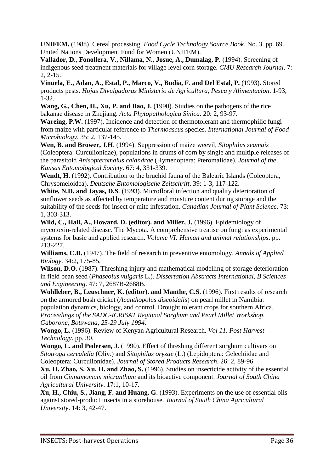**UNIFEM.** (1988). Cereal processing. *Food Cycle Technology Source Book*. No. 3. pp. 69. United Nations Development Fund for Women (UNIFEM).

**Vallador, D., Fonollera, V., Nillama, N., Josue, A., Dumalag, P.** (1994). Screening of indigenous seed treatment materials for village level corn storage. *CMU Research Journal*. 7: 2, 2-15.

**Vinuela, E., Adan, A., Estal, P., Marco, V., Budia, F. and Del Estal, P.** (1993). Stored products pests. *Hojas Divulgadoras Ministerio de Agricultura, Pesca y Alimentacion*. 1-93, 1-32.

**Wang, G., Chen, H., Xu, P. and Bao, J.** (1990). Studies on the pathogens of the rice bakanae disease in Zhejiang. *Acta Phytopathologica Sinica*. 20: 2, 93-97.

**Wareing, P.W.** (1997). Incidence and detection of thermotolerant and thermophilic fungi from maize with particular reference to *Thermoascus* species. *International Journal of Food Microbiology*. 35: 2, 137-145.

**Wen, B. and Brower, J.H**. (1994). Suppression of maize weevil, *Sitophilus zeamais* (Coleoptera: Curculionidae), populations in drums of corn by single and multiple releases of the parasitoid *Anisopteromalus calandrae* (Hymenoptera: Pteromalidae). *Journal of the Kansas Entomological Society*. 67: 4, 331-339.

**Wendt, H.** (1992). Contribution to the bruchid fauna of the Balearic Islands (Coleoptera, Chrysomeloidea). *Deutsche Entomologische Zeitschrift*. 39: 1-3, 117-122.

**White, N.D. and Jayas, D.S**. (1993). Microfloral infection and quality deterioration of sunflower seeds as affected by temperature and moisture content during storage and the suitability of the seeds for insect or mite infestation. *Canadian Journal of Plant Science*. 73: 1, 303-313.

**Wild, C., Hall, A., Howard, D. (editor). and Miller, J.** (1996). Epidemiology of mycotoxin-related disease. The Mycota. A comprehensive treatise on fungi as experimental systems for basic and applied research. *Volume VI: Human and animal relationships*. pp. 213-227.

**Williams, C.B.** (1947). The field of research in preventive entomology. *Annals of Applied Biology*. 34:2, 175-85.

**Wilson, D.O**. (1987). Threshing injury and mathematical modelling of storage deterioration in field bean seed (*Phaseolus vulgaris* L.). *Dissertation Abstracts International, B Sciences and Engineering*. 47: 7, 2687B-2688B.

**Wohlleber, B., Leuschner, K. (editor). and Manthe, C.S**. (1996). First results of research on the armored bush cricket (*Acanthopolus discoidalis*) on pearl millet in Namibia: population dynamics, biology, and control. Drought tolerant crops for southern Africa. *Proceedings of the SADC-ICRISAT Regional Sorghum and Pearl Millet Workshop, Gaborone, Botswana, 25-29 July 1994.*

**Wongo, L.** (1996). Review of Kenyan Agricultural Research. *Vol 11. Post Harvest Technology*. pp. 30.

**Wongo, L. and Pedersen, J**. (1990). Effect of threshing different sorghum cultivars on *Sitotroga cerealella* (Oliv.) and *Sitophilus oryzae* (L.) (Lepidoptera: Gelechiidae and Coleoptera: Curculionidae). *Journal of Stored Products Research*. 26: 2, 89-96.

**Xu, H. Zhao, S. Xu, H. and Zhao, S.** (1996). Studies on insecticide activity of the essential oil from *Cinnamomum micranthum* and its bioactive component. *Journal of South China Agricultural University*. 17:1, 10-17.

**Xu, H., Chiu, S., Jiang, F. and Huang, G**. (1993). Experiments on the use of essential oils against stored-product insects in a storehouse. *Journal of South China Agricultural University*. 14: 3, 42-47.